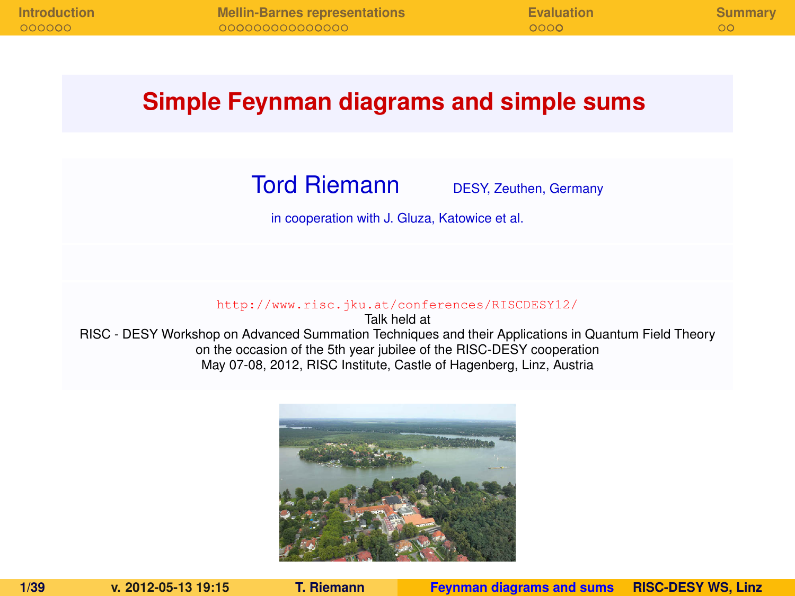### **Simple Feynman diagrams and simple sums**

Tord Riemann DESY, Zeuthen, Germany

<span id="page-0-0"></span>

in cooperation with J. Gluza, Katowice et al.

<http://www.risc.jku.at/conferences/RISCDESY12/>

Talk held at RISC - DESY Workshop on Advanced Summation Techniques and their Applications in Quantum Field Theory on the occasion of the 5th year jubilee of the RISC-DESY cooperation May 07-08, 2012, RISC Institute, Castle of Hagenberg, Linz, Austria

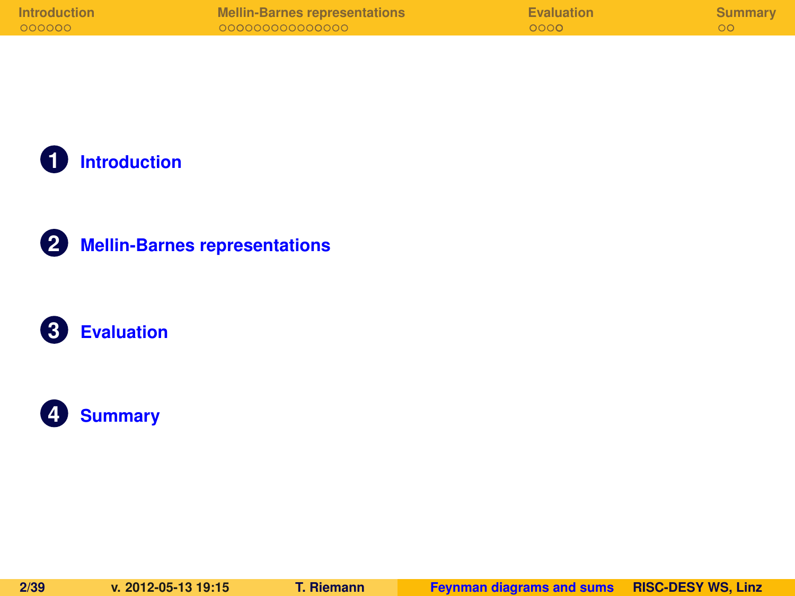| <b>Introduction</b> | Mellin-Barnes representations | Evaluation | Summary |
|---------------------|-------------------------------|------------|---------|
| 000000              | 000000000000000               | 0000       |         |

**[Introduction](#page-2-0)**





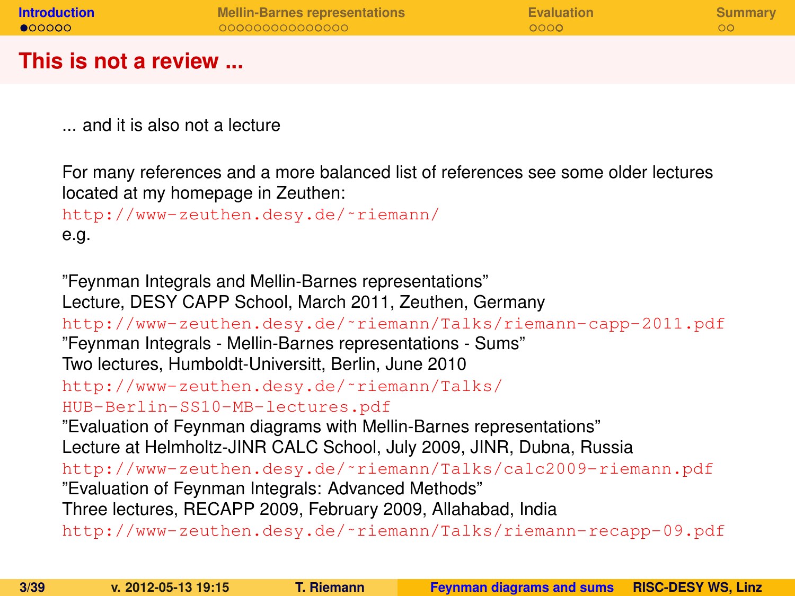| <b>Introduction</b>  | <b>Mellin-Barnes representations</b> | Evaluation | Summary |
|----------------------|--------------------------------------|------------|---------|
| $\bullet$ 00000      | 000000000000000                      | 0000       |         |
|                      |                                      |            |         |
| This is not a review |                                      |            |         |

... and it is also not a lecture

For many references and a more balanced list of references see some older lectures located at my homepage in Zeuthen:

```
http://www-zeuthen.desy.de/˜riemann/
e.g.
```
<span id="page-2-0"></span>"Feynman Integrals and Mellin-Barnes representations" Lecture, DESY CAPP School, March 2011, Zeuthen, Germany [http://www-zeuthen.desy.de/˜riemann/Talks/riemann-capp-2011.pdf](http://www-zeuthen.desy.de/~riemann/Talks/riemann-capp-2011.pdf) "Feynman Integrals - Mellin-Barnes representations - Sums" Two lectures, Humboldt-Universitt, Berlin, June 2010 [http://www-zeuthen.desy.de/˜riemann/Talks/](http://www-zeuthen.desy.de/~riemann/Talks/HUB-Berlin-SS10-MB-lectures.pdf) [HUB-Berlin-SS10-MB-lectures.pdf](http://www-zeuthen.desy.de/~riemann/Talks/HUB-Berlin-SS10-MB-lectures.pdf) "Evaluation of Feynman diagrams with Mellin-Barnes representations" Lecture at Helmholtz-JINR CALC School, July 2009, JINR, Dubna, Russia [http://www-zeuthen.desy.de/˜riemann/Talks/calc2009-riemann.pdf](http://www-zeuthen.desy.de/~riemann/Talks/calc2009-riemann.pdf) "Evaluation of Feynman Integrals: Advanced Methods" Three lectures, RECAPP 2009, February 2009, Allahabad, India [http://www-zeuthen.desy.de/˜riemann/Talks/riemann-recapp-09.pdf](http://www-zeuthen.desy.de/~riemann/Talks/riemann-recapp-09.pdf)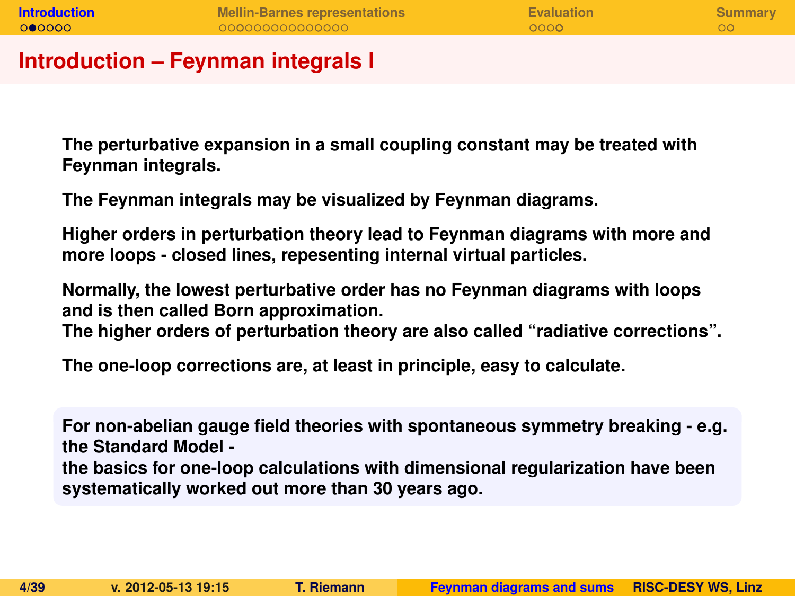| <b>Introduction</b> | <b>Mellin-Barnes representations</b> | Evaluation | Summary |
|---------------------|--------------------------------------|------------|---------|
| 000000              | 000000000000000                      | $0000 -$   |         |
|                     |                                      |            |         |

#### **Introduction – Feynman integrals I**

**The perturbative expansion in a small coupling constant may be treated with Feynman integrals.**

**The Feynman integrals may be visualized by Feynman diagrams.**

**Higher orders in perturbation theory lead to Feynman diagrams with more and more loops - closed lines, repesenting internal virtual particles.**

**Normally, the lowest perturbative order has no Feynman diagrams with loops and is then called Born approximation.**

**The higher orders of perturbation theory are also called "radiative corrections".**

**The one-loop corrections are, at least in principle, easy to calculate.**

**For non-abelian gauge field theories with spontaneous symmetry breaking - e.g. the Standard Model the basics for one-loop calculations with dimensional regularization have been systematically worked out more than 30 years ago.**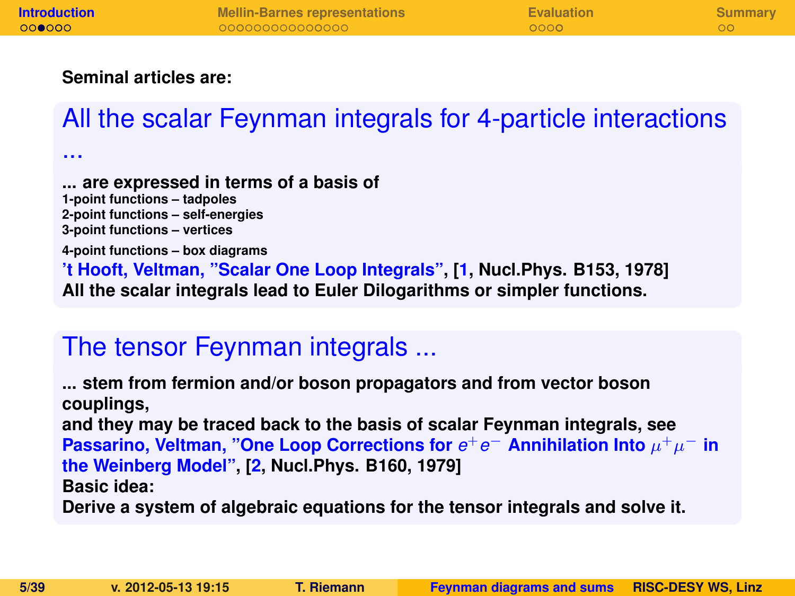#### **Seminal articles are:**

...

# All the scalar Feynman integrals for 4-particle interactions

**... are expressed in terms of a basis of 1-point functions – tadpoles 2-point functions – self-energies 3-point functions – vertices 4-point functions – box diagrams 't Hooft, Veltman, "Scalar One Loop Integrals", [\[1,](#page-37-0) Nucl.Phys. B153, 1978] All the scalar integrals lead to Euler Dilogarithms or simpler functions.**

## The tensor Feynman integrals ...

**... stem from fermion and/or boson propagators and from vector boson couplings, and they may be traced back to the basis of scalar Feynman integrals, see Passarino, Veltman, "One Loop Corrections for**  $e^+e^-$  Annihilation Into  $\mu^+\mu^-$  in **the Weinberg Model", [\[2,](#page-37-1) Nucl.Phys. B160, 1979] Basic idea:**

**Derive a system of algebraic equations for the tensor integrals and solve it.**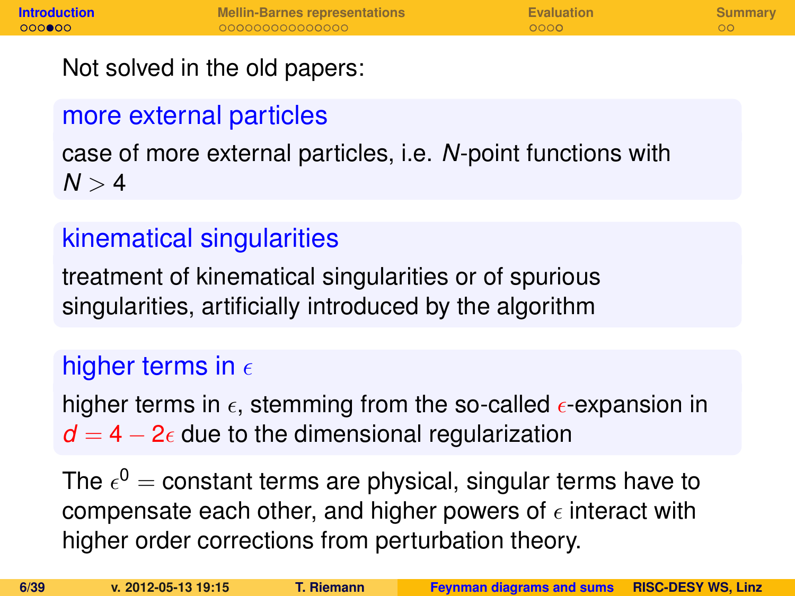Not solved in the old papers:

# more external particles

case of more external particles, i.e. *N*-point functions with  $N > 4$ 

# kinematical singularities

treatment of kinematical singularities or of spurious singularities, artificially introduced by the algorithm

# higher terms in  $\epsilon$

higher terms in  $\epsilon$ , stemming from the so-called  $\epsilon$ -expansion in  $d = 4 - 2\epsilon$  due to the dimensional regularization

The  $\epsilon^0=$  constant terms are physical, singular terms have to compensate each other, and higher powers of  $\epsilon$  interact with higher order corrections from perturbation theory.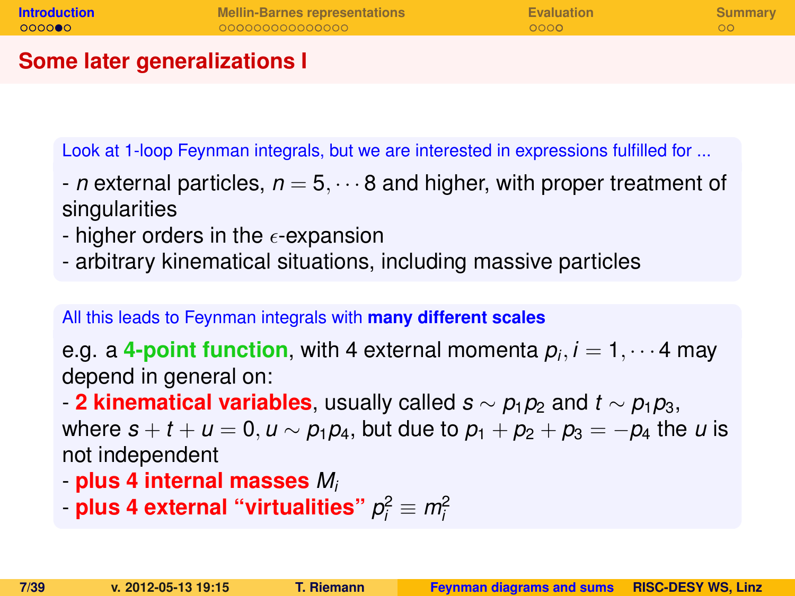| <b>Introduction</b> | <b>Mellin-Barnes representations</b> | Evaluation | Summary |
|---------------------|--------------------------------------|------------|---------|
| 000000              | 000000000000000                      | 0000       |         |
|                     |                                      |            |         |

#### **Some later generalizations I**

Look at 1-loop Feynman integrals, but we are interested in expressions fulfilled for ...

- *n* external particles,  $n = 5, \dots 8$  and higher, with proper treatment of singularities
- higher orders in the  $\epsilon$ -expansion
- arbitrary kinematical situations, including massive particles

All this leads to Feynman integrals with **many different scales**

e.g. a **4-point function**, with 4 external momenta *p<sup>i</sup>* , *i* = 1, · · · 4 may depend in general on:

- **2 kinematical variables**, usually called  $s \sim p_1p_2$  and  $t \sim p_1p_3$ ,

where  $s + t + u = 0, u \sim p_1 p_4$ , but due to  $p_1 + p_2 + p_3 = -p_4$  the *u* is not independent

- **plus 4 internal masses** *M<sup>i</sup>*
- plus 4 external "virtualities"  $p_i^2 \equiv m_i^2$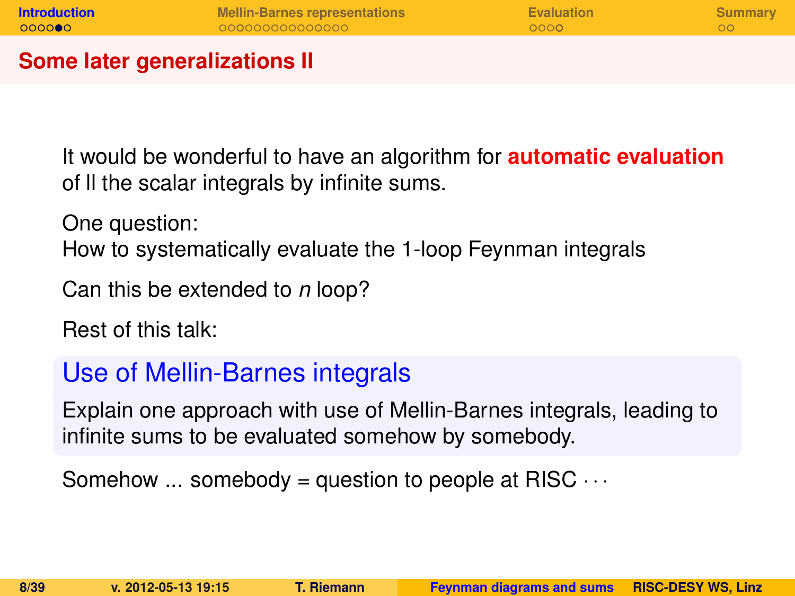| <b>Introduction</b>           | <b>Mellin-Barnes representations</b> | Evaluation | Summary |
|-------------------------------|--------------------------------------|------------|---------|
| 000000                        | 000000000000000                      | 0000       | ററ      |
| Some later generalizations II |                                      |            |         |

It would be wonderful to have an algorithm for **automatic evaluation** of ll the scalar integrals by infinite sums.

One question:

How to systematically evaluate the 1-loop Feynman integrals

Can this be extended to *n* loop?

Rest of this talk:

### Use of Mellin-Barnes integrals

Explain one approach with use of Mellin-Barnes integrals, leading to infinite sums to be evaluated somehow by somebody.

Somehow  $\ldots$  somebody = question to people at RISC  $\cdots$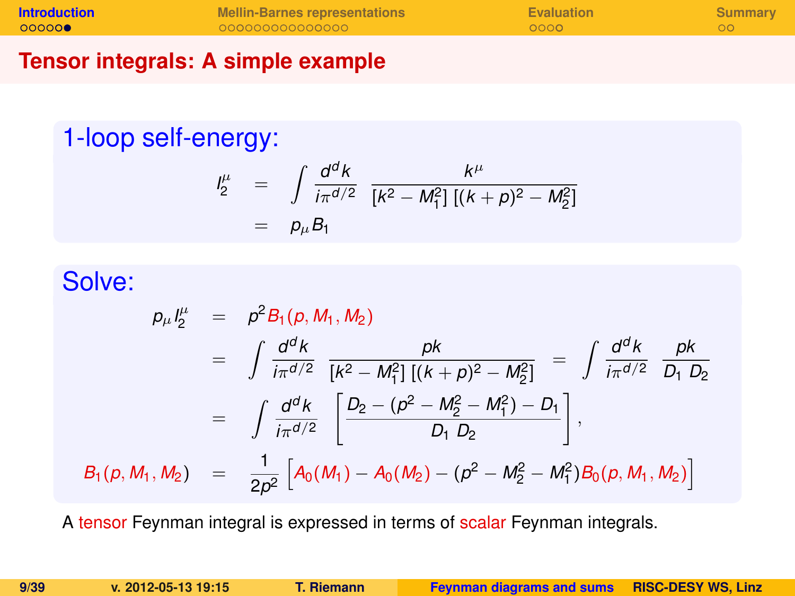| <b>Introduction</b> | <b>Mellin-Barnes representations</b> | Evaluation | Summary |
|---------------------|--------------------------------------|------------|---------|
| 000000              | 000000000000000                      | 0000       |         |
|                     |                                      |            |         |

### **Tensor integrals: A simple example**

## 1-loop self-energy:

$$
\begin{array}{rcl}\n l_2^{\mu} & = & \int \frac{d^d k}{i\pi^{d/2}} \frac{k^{\mu}}{[k^2 - M_1^2] \left[ (k+p)^2 - M_2^2 \right]} \\
 & = & p_{\mu} B_1\n \end{array}
$$

### Solve:

$$
p_{\mu}I_{2}^{\mu} = p^{2}B_{1}(p, M_{1}, M_{2})
$$
  
\n
$$
= \int \frac{d^{d}k}{i\pi^{d/2}} \frac{pk}{[k^{2} - M_{1}^{2}][(k+p)^{2} - M_{2}^{2}]} = \int \frac{d^{d}k}{i\pi^{d/2}} \frac{pk}{D_{1} D_{2}}
$$
  
\n
$$
= \int \frac{d^{d}k}{i\pi^{d/2}} \left[ \frac{D_{2} - (p^{2} - M_{2}^{2} - M_{1}^{2}) - D_{1}}{D_{1} D_{2}} \right],
$$
  
\n
$$
B_{1}(p, M_{1}, M_{2}) = \frac{1}{2p^{2}} \left[ A_{0}(M_{1}) - A_{0}(M_{2}) - (p^{2} - M_{2}^{2} - M_{1}^{2}) B_{0}(p, M_{1}, M_{2}) \right]
$$

A tensor Feynman integral is expressed in terms of scalar Feynman integrals.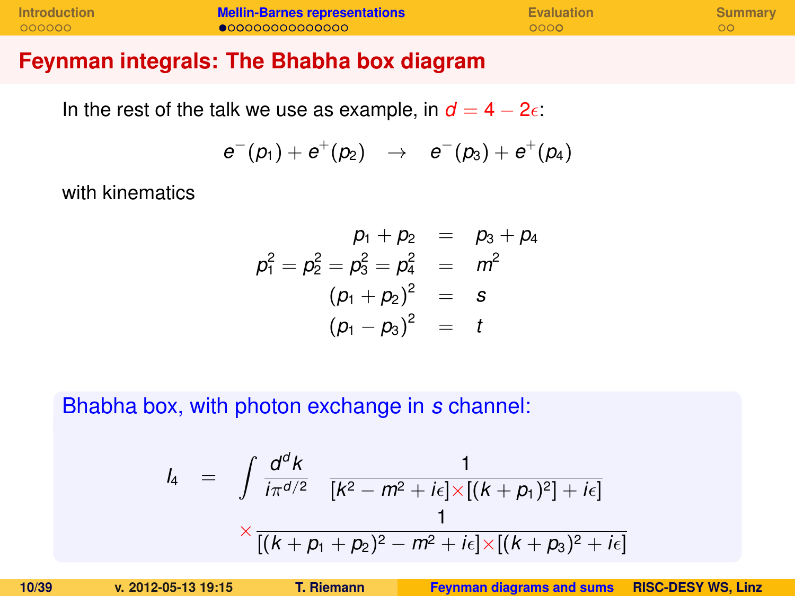| <b>Introduction</b> | <b>Mellin-Barnes representations</b> | <b>Evaluation</b> | Summary |
|---------------------|--------------------------------------|-------------------|---------|
| 000000              | $\bullet$ 00000000000000             | 0000              |         |

#### **Feynman integrals: The Bhabha box diagram**

In the rest of the talk we use as example, in  $d = 4 - 2\epsilon$ .

$$
e^-(p_1)+e^+(p_2) \rightarrow e^-(p_3)+e^+(p_4)
$$

with kinematics

$$
p_1 + p_2 = p_3 + p_4
$$
  
\n
$$
p_1^2 = p_2^2 = p_3^2 = p_4^2 = m^2
$$
  
\n
$$
(p_1 + p_2)^2 = s
$$
  
\n
$$
(p_1 - p_3)^2 = t
$$

Bhabha box, with photon exchange in *s* channel:

<span id="page-9-0"></span>
$$
l_4 = \int \frac{d^d k}{i\pi^{d/2}} \frac{1}{[k^2 - m^2 + i\epsilon] \times [(k + p_1)^2] + i\epsilon]}
$$
  
 
$$
\times \frac{1}{[(k + p_1 + p_2)^2 - m^2 + i\epsilon] \times [(k + p_3)^2 + i\epsilon]}
$$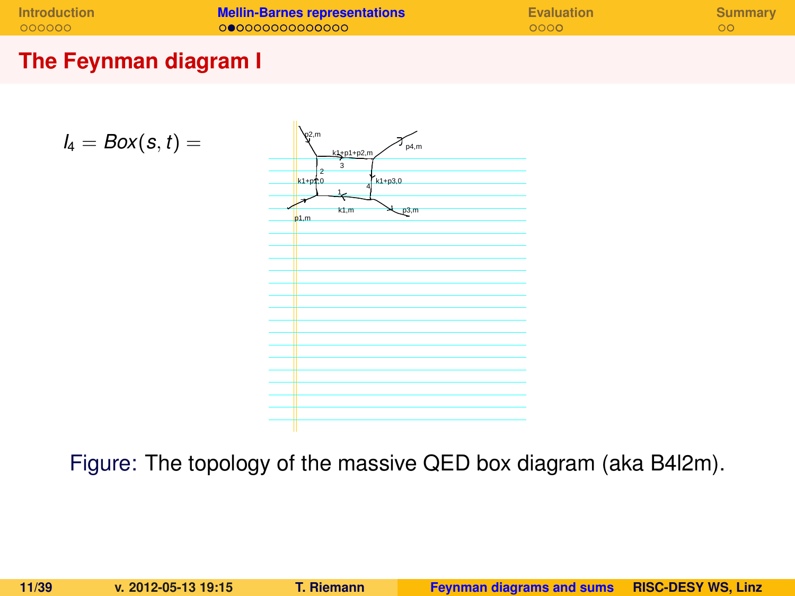| <b>Introduction</b> | <b>Mellin-Barnes representations</b> | Evaluation | Summary |
|---------------------|--------------------------------------|------------|---------|
| 000000              | 000000000000000                      | 0000       |         |

### **The Feynman diagram I**

$$
I_4 = Box(s,t) =
$$



Figure: The topology of the massive QED box diagram (aka B4l2m).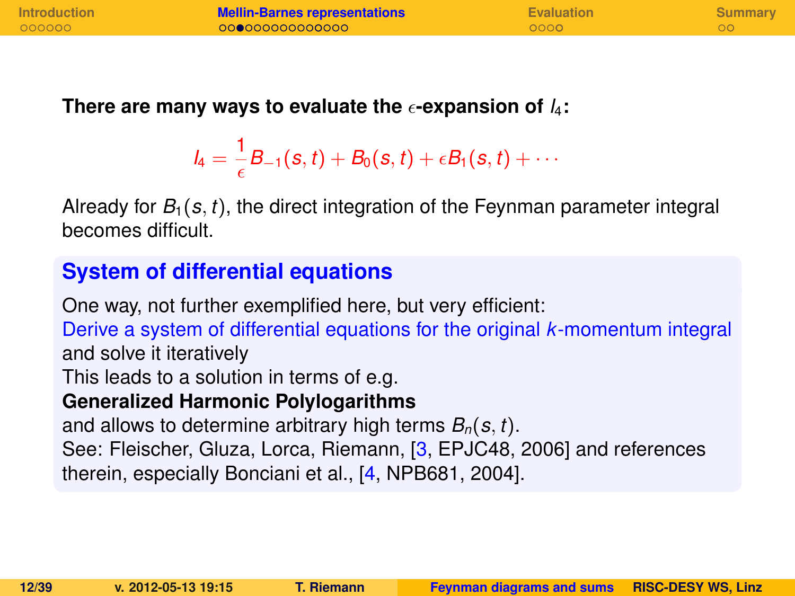| <b>Introduction</b> | <b>Mellin-Barnes representations</b> | <b>Evaluation</b> | <b>Summary</b> |
|---------------------|--------------------------------------|-------------------|----------------|
| 000000              | 000000000000000                      | 0000              |                |
|                     |                                      |                   |                |

There are many ways to evaluate the  $\epsilon$ -expansion of  $I_4$ :

$$
I_4=\frac{1}{\epsilon}B_{-1}(s,t)+B_0(s,t)+\epsilon B_1(s,t)+\cdots
$$

Already for  $B_1(s, t)$ , the direct integration of the Feynman parameter integral becomes difficult.

### **System of differential equations**

One way, not further exemplified here, but very efficient: Derive a system of differential equations for the original *k*-momentum integral and solve it iteratively This leads to a solution in terms of e.g. **Generalized Harmonic Polylogarithms** and allows to determine arbitrary high terms *Bn*(*s*, *t*). See: Fleischer, Gluza, Lorca, Riemann, [\[3,](#page-37-2) EPJC48, 2006] and references therein, especially Bonciani et al., [\[4,](#page-37-3) NPB681, 2004].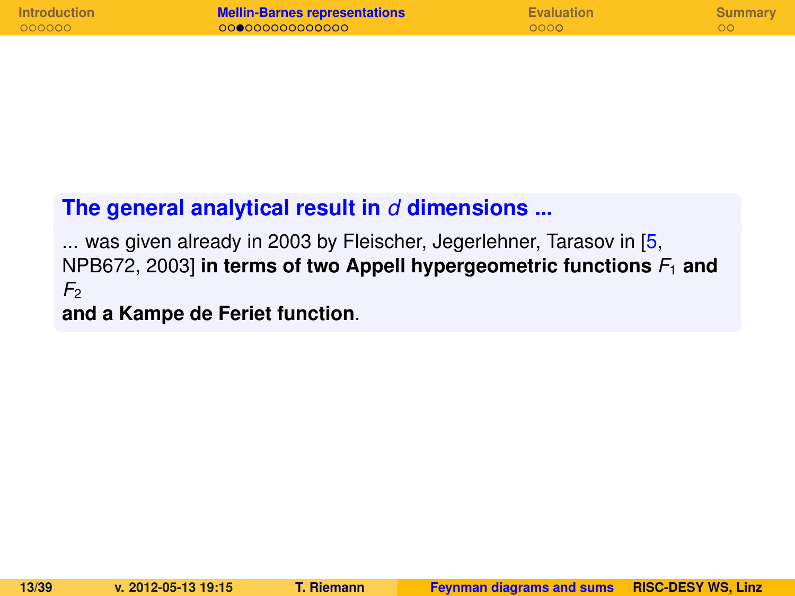| <b>Introduction</b> | <b>Mellin-Barnes representations</b> | <b>Evaluation</b> | Summary |
|---------------------|--------------------------------------|-------------------|---------|
| 000000              | 000000000000000                      | 0000              |         |

### **The general analytical result in** *d* **dimensions ...**

... was given already in 2003 by Fleischer, Jegerlehner, Tarasov in [\[5,](#page-37-4) NPB672, 2003] **in terms of two Appell hypergeometric functions** *F*<sup>1</sup> **and**  $F<sub>2</sub>$ 

**and a Kampe de Feriet function**.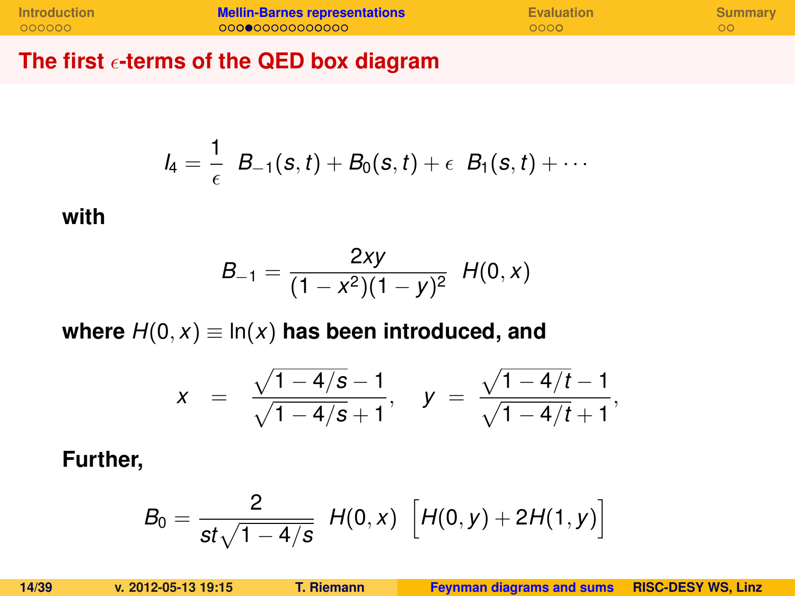| <b>Introduction</b> | <b>Mellin-Barnes representations</b> | Evaluation | Summary |
|---------------------|--------------------------------------|------------|---------|
| 000000              | 00000000000000                       | 0000       |         |

**The first -terms of the QED box diagram**

$$
I_4 = \frac{1}{\epsilon} B_{-1}(s,t) + B_0(s,t) + \epsilon B_1(s,t) + \cdots
$$

#### **with**

$$
B_{-1} = \frac{2xy}{(1-x^2)(1-y)^2} H(0,x)
$$

where  $H(0, x) \equiv \ln(x)$  has been introduced, and

$$
x = \frac{\sqrt{1-4/s}-1}{\sqrt{1-4/s}+1}, \quad y = \frac{\sqrt{1-4/t}-1}{\sqrt{1-4/t}+1},
$$

**Further,**

$$
B_0 = \frac{2}{st\sqrt{1-4/s}} H(0,x) \left[ H(0,y) + 2H(1,y) \right]
$$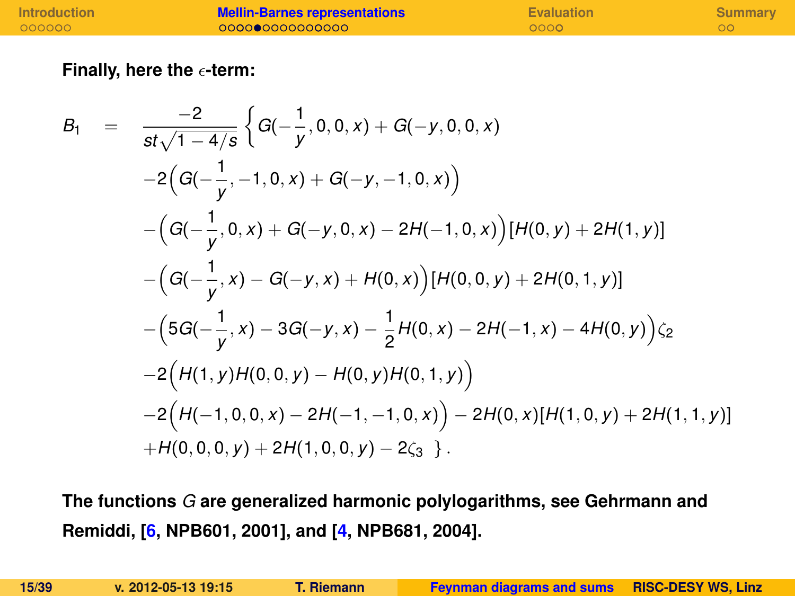| <b>Introduction</b> | <b>Mellin-Barnes representations</b> | <b>Evaluation</b> | Summary |
|---------------------|--------------------------------------|-------------------|---------|
| 000000              | 00000000000000                       | 0000              |         |

**Finally, here the -term:**

$$
B_1 = \frac{-2}{st\sqrt{1-4/s}} \Big\{ G(-\frac{1}{y}, 0, 0, x) + G(-y, 0, 0, x) -2\Big(G(-\frac{1}{y}, -1, 0, x) + G(-y, -1, 0, x)\Big) - \Big(G(-\frac{1}{y}, 0, x) + G(-y, 0, x) - 2H(-1, 0, x)\Big)[H(0, y) + 2H(1, y)] - \Big(G(-\frac{1}{y}, x) - G(-y, x) + H(0, x)\Big)[H(0, 0, y) + 2H(0, 1, y)] - \Big(5G(-\frac{1}{y}, x) - 3G(-y, x) - \frac{1}{2}H(0, x) - 2H(-1, x) - 4H(0, y)\Big)\zeta_2 - 2\Big(H(1, y)H(0, 0, y) - H(0, y)H(0, 1, y)\Big) - 2\Big(H(-1, 0, 0, x) - 2H(-1, -1, 0, x)\Big) - 2H(0, x)[H(1, 0, y) + 2H(1, 1, y)] + H(0, 0, 0, y) + 2H(1, 0, 0, y) - 2\zeta_3 \Big\}.
$$

**The functions** *G* **are generalized harmonic polylogarithms, see Gehrmann and Remiddi, [\[6,](#page-37-5) NPB601, 2001], and [\[4,](#page-37-3) NPB681, 2004].**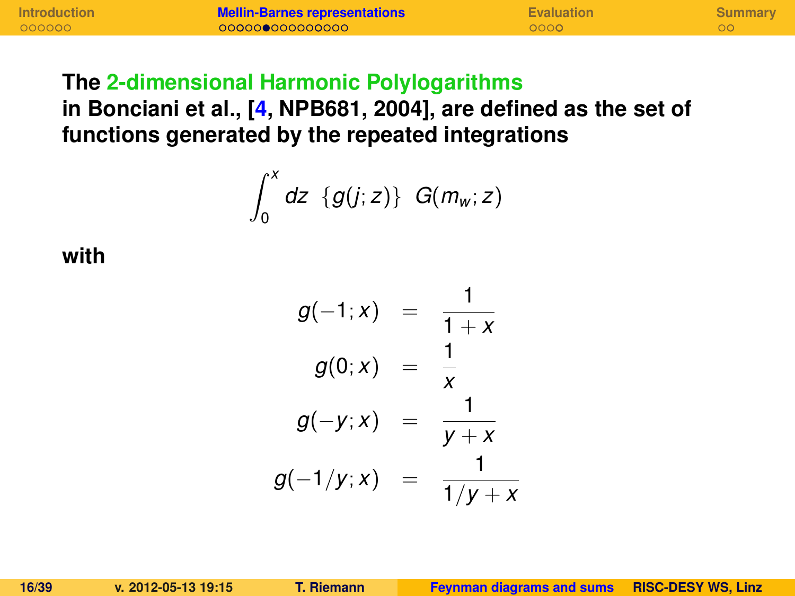#### **The 2-dimensional Harmonic Polylogarithms**

**in Bonciani et al., [\[4,](#page-37-3) NPB681, 2004], are defined as the set of functions generated by the repeated integrations**

$$
\int_0^x dz \ \{g(j;z)\} \ G(m_w;z)
$$

**with**

$$
g(-1; x) = \frac{1}{1+x}
$$
  
\n
$$
g(0; x) = \frac{1}{x}
$$
  
\n
$$
g(-y; x) = \frac{1}{y+x}
$$
  
\n
$$
g(-1/y; x) = \frac{1}{1/y+x}
$$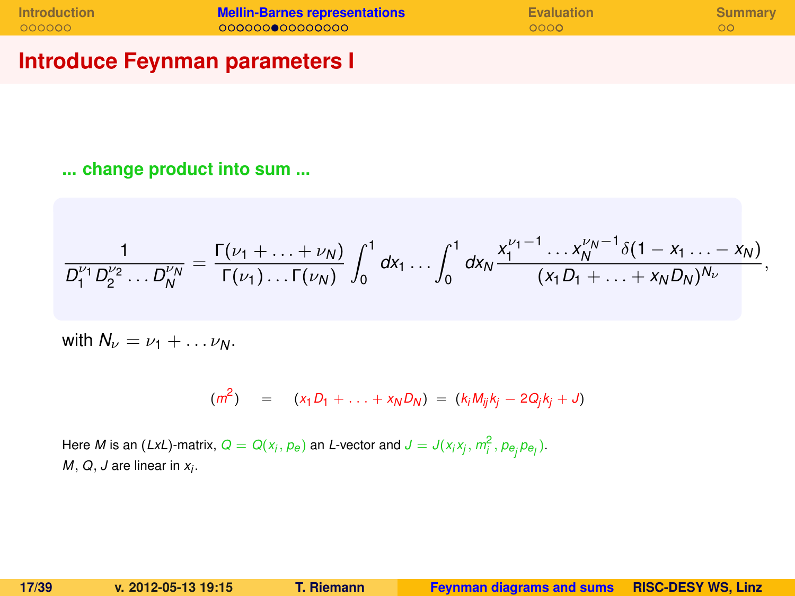| <b>Introduction</b> | <b>Mellin-Barnes representations</b> | <b>Evaluation</b> | Summary |
|---------------------|--------------------------------------|-------------------|---------|
| 000000              | 000000000000000                      | 0000              |         |

### **Introduce Feynman parameters I**

**... change product into sum ...**

$$
\frac{1}{D_1^{\nu_1}D_2^{\nu_2}\ldots D_N^{\nu_N}}=\frac{\Gamma(\nu_1+\ldots+\nu_N)}{\Gamma(\nu_1)\ldots\Gamma(\nu_N)}\int_0^1dx_1\ldots\int_0^1dx_N\frac{x_1^{\nu_1-1}\ldots x_N^{\nu_N-1}\delta(1-x_1\ldots-x_N)}{(x_1D_1+\ldots+x_ND_N)^{N_\nu}},
$$

with  $N_{\nu} = \nu_1 + \ldots \nu_N$ .

$$
(m^2) = (x_1 D_1 + \ldots + x_N D_N) = (k_i M_{ij} k_j - 2 Q_j k_j + J)
$$

Here M is an (LxL)-matrix,  $Q = Q(x_j, \rho_e)$  an L-vector and  $J = J(x_i x_j, m_i^2, \rho_{e_j} \rho_{e_l}).$ *M*, *Q*, *J* are linear in *x<sup>i</sup>* .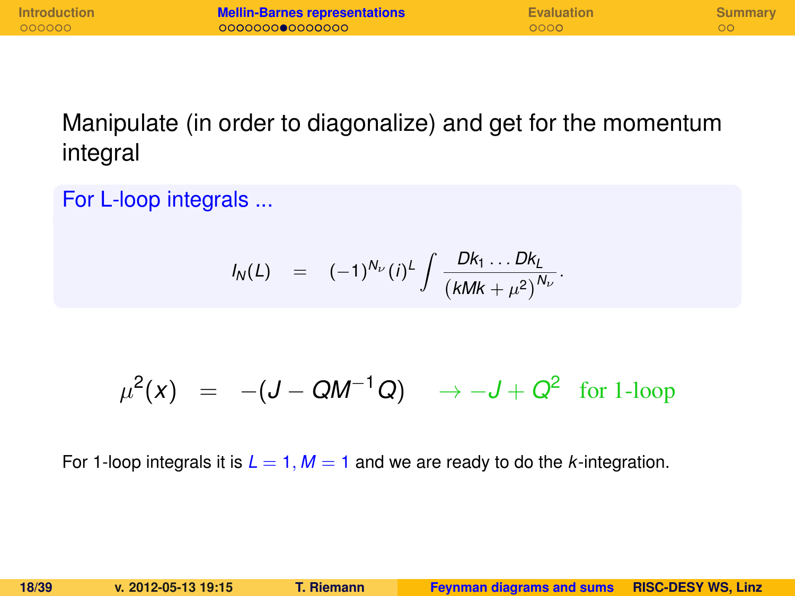| <b>Introduction</b> | <b>Mellin-Barnes representations</b> | <b>Evaluation</b> | Summary |
|---------------------|--------------------------------------|-------------------|---------|
| 000000              | 000000000000000                      | 0000              |         |

Manipulate (in order to diagonalize) and get for the momentum integral

For L-loop integrals ...

$$
I_N(L) = (-1)^{N_{\nu}} (i)^L \int \frac{D k_1 \dots D k_L}{(k M k + \mu^2)^{N_{\nu}}}.
$$

$$
\mu^2(x) = -(J - QM^{-1}Q) \rightarrow -J + Q^2 \text{ for 1-loop}
$$

For 1-loop integrals it is  $L = 1$ ,  $M = 1$  and we are ready to do the *k*-integration.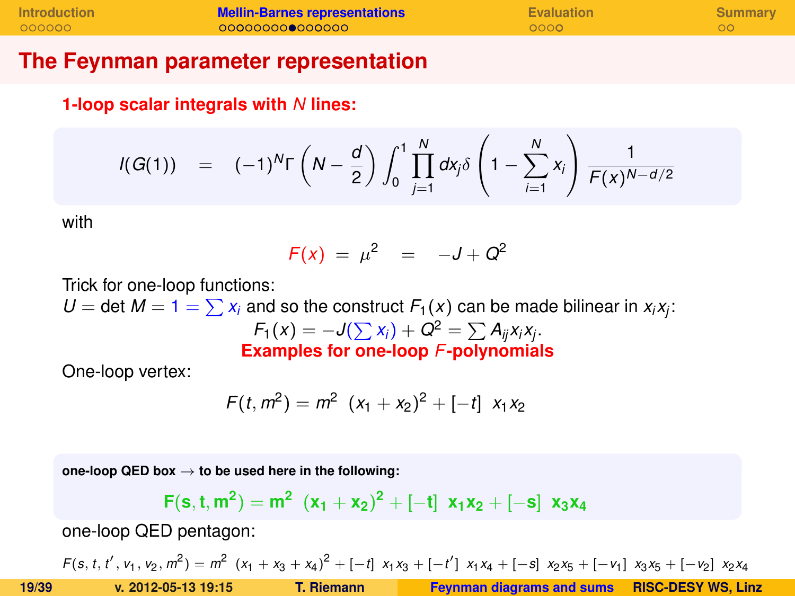| <b>Introduction</b> | <b>Mellin-Barnes representations</b> | Evaluation | Summary |
|---------------------|--------------------------------------|------------|---------|
| 000000              | 000000000000000                      | 0000       |         |

#### **The Feynman parameter representation**

**1-loop scalar integrals with** *N* **lines:**

$$
I(G(1)) = (-1)^{N} \Gamma \left(N - \frac{d}{2}\right) \int_0^1 \prod_{j=1}^{N} dx_j \delta \left(1 - \sum_{i=1}^{N} x_i\right) \frac{1}{F(x)^{N-d/2}}
$$

with

$$
F(x) = \mu^2 = -J + Q^2
$$

Trick for one-loop functions:

 $U =$  det  $M = 1 = \sum x_i$  and so the construct  $F_1(x)$  can be made bilinear in  $x_i x_j$ :  $F_1(x) = -J(\sum x_i) + Q^2 = \sum A_{ij}x_ix_j.$ **Examples for one-loop** *F***-polynomials**

One-loop vertex:

$$
F(t, m2) = m2 (x1 + x2)2 + [-t] x1x2
$$

**one-loop QED box** → **to be used here in the following:**

$$
F(s,t,m^2) = m^2 (x_1 + x_2)^2 + [-t] x_1x_2 + [-s] x_3x_4
$$

one-loop QED pentagon:

 $F(s, t, t', v_1, v_2, m^2) = m^2 (x_1 + x_3 + x_4)^2 + [-t] x_1x_3 + [-t'] x_1x_4 + [-s] x_2x_5 + [-v_1] x_3x_5 + [-v_2] x_2x_4$ **19/39 v. 2012-05-13 19:15 T. Riemann [Feynman diagrams and sums](#page-0-0) RISC-DESY WS, Linz**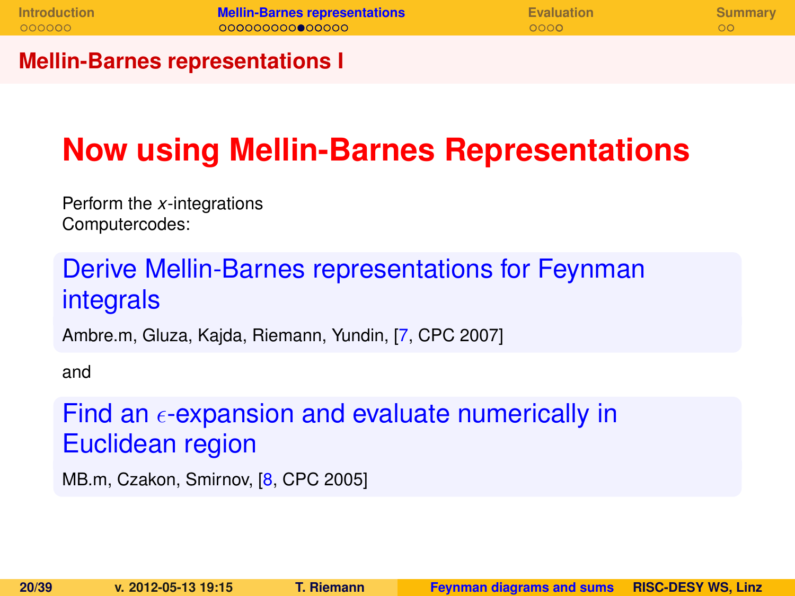#### **Mellin-Barnes representations I**

# **Now using Mellin-Barnes Representations**

Perform the *x*-integrations Computercodes:

# Derive Mellin-Barnes representations for Feynman integrals

Ambre.m, Gluza, Kajda, Riemann, Yundin, [\[7,](#page-38-1) CPC 2007]

and

## Find an  $\epsilon$ -expansion and evaluate numerically in Euclidean region

MB.m, Czakon, Smirnov, [\[8,](#page-38-2) CPC 2005]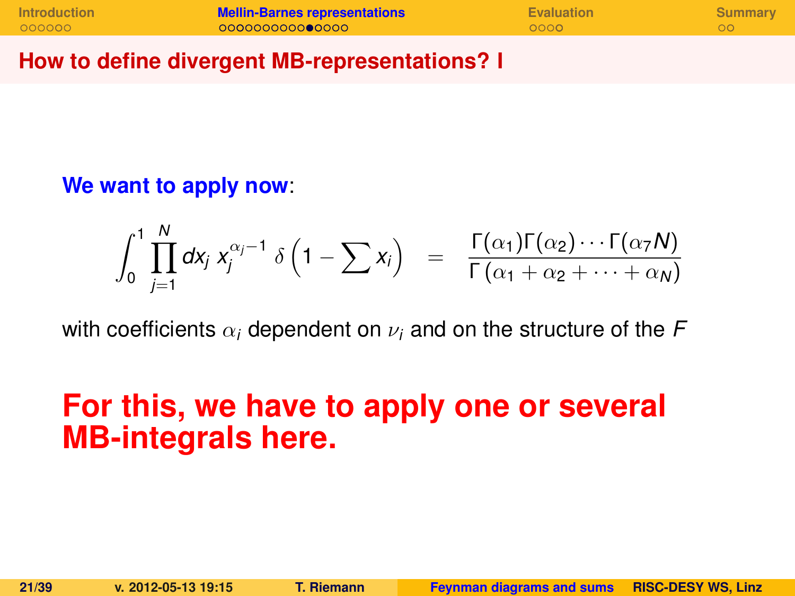| <b>Introduction</b> | <b>Mellin-Barnes representations</b> | <b>Evaluation</b> | <b>Summary</b> |
|---------------------|--------------------------------------|-------------------|----------------|
| 000000              | 000000000000000                      | 0000              |                |

#### **How to define divergent MB-representations? I**

### **We want to apply now**:

$$
\int_0^1 \prod_{j=1}^N dx_j x_j^{\alpha_j-1} \delta\left(1-\sum x_j\right) = \frac{\Gamma(\alpha_1)\Gamma(\alpha_2)\cdots\Gamma(\alpha_7 N)}{\Gamma(\alpha_1+\alpha_2+\cdots+\alpha_N)}
$$

with coefficients  $\alpha_i$  dependent on  $\nu_i$  and on the structure of the F

# **For this, we have to apply one or several MB-integrals here.**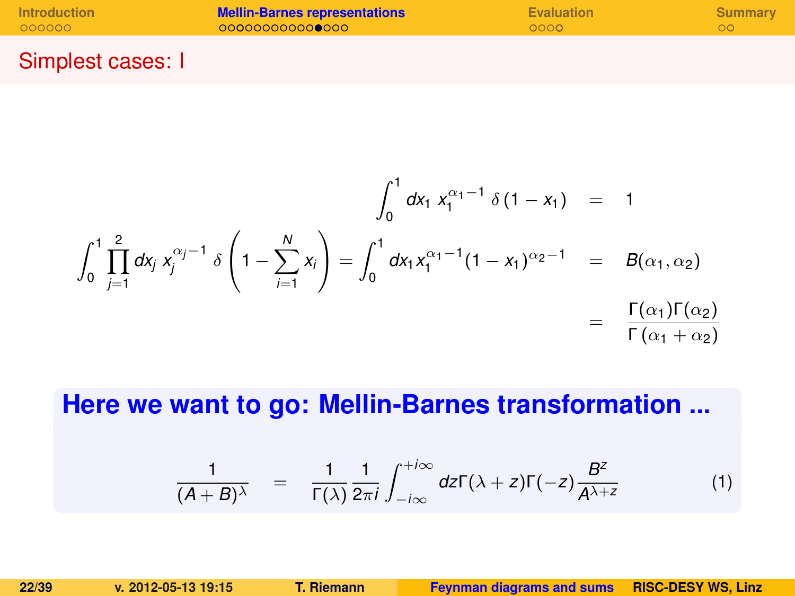| <b>Introduction</b> | <b>Mellin-Barnes representations</b> | <b>Evaluation</b> | Summary |
|---------------------|--------------------------------------|-------------------|---------|
| 000000              | 000000000000000                      | 0000              | ററ      |
|                     |                                      |                   |         |

### Simplest cases: I

$$
\int_0^1 dx_1 x_1^{\alpha_1 - 1} \delta(1 - x_1) = 1
$$
  

$$
\int_0^1 \prod_{j=1}^2 dx_j x_j^{\alpha_j - 1} \delta\left(1 - \sum_{i=1}^N x_i\right) = \int_0^1 dx_1 x_1^{\alpha_1 - 1} (1 - x_1)^{\alpha_2 - 1} = B(\alpha_1, \alpha_2)
$$
  

$$
= \frac{\Gamma(\alpha_1) \Gamma(\alpha_2)}{\Gamma(\alpha_1 + \alpha_2)}
$$

### **Here we want to go: Mellin-Barnes transformation ...**

$$
\frac{1}{(A+B)^{\lambda}} = \frac{1}{\Gamma(\lambda)} \frac{1}{2\pi i} \int_{-i\infty}^{+i\infty} dz \Gamma(\lambda + z) \Gamma(-z) \frac{B^z}{A^{\lambda+z}}
$$
(1)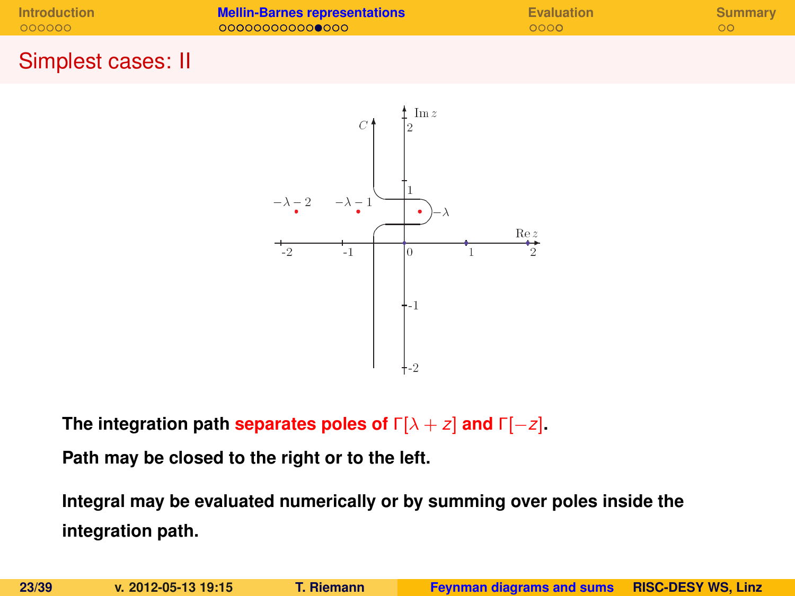| <b>Introduction</b> | <b>Mellin-Barnes representations</b> | Evaluation | Summary |
|---------------------|--------------------------------------|------------|---------|
| 000000              | 000000000000000                      | 0000       |         |
|                     |                                      |            |         |

#### Simplest cases: II



**The integration path separates poles of** Γ[λ + *z*] **and** Γ[−*z*]**.**

**Path may be closed to the right or to the left.**

**Integral may be evaluated numerically or by summing over poles inside the integration path.**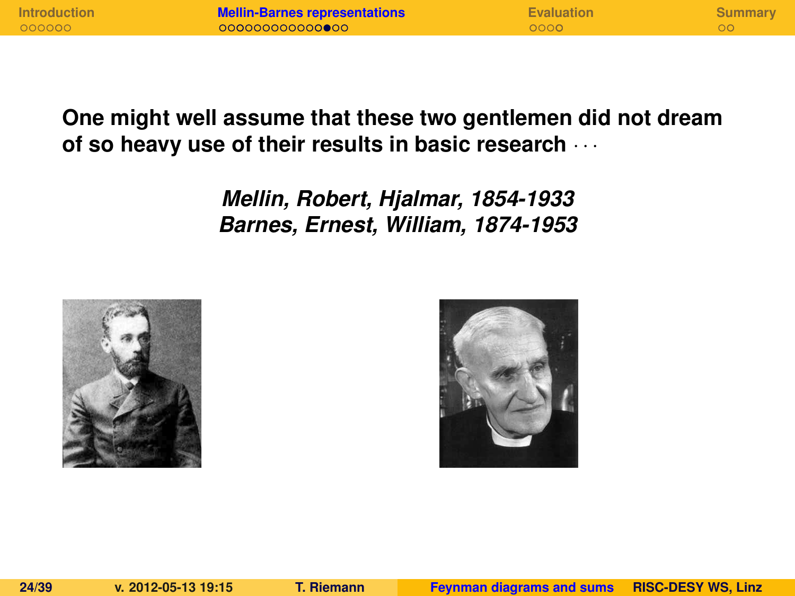| <b>Introduction</b> | <b>Mellin-Barnes representations</b> | <b>Evaluation</b> | Summary |
|---------------------|--------------------------------------|-------------------|---------|
| 000000              | 000000000000000                      | 0000              |         |

### **One might well assume that these two gentlemen did not dream of so heavy use of their results in basic research** · · ·

*Mellin, Robert, Hjalmar, 1854-1933 Barnes, Ernest, William, 1874-1953*



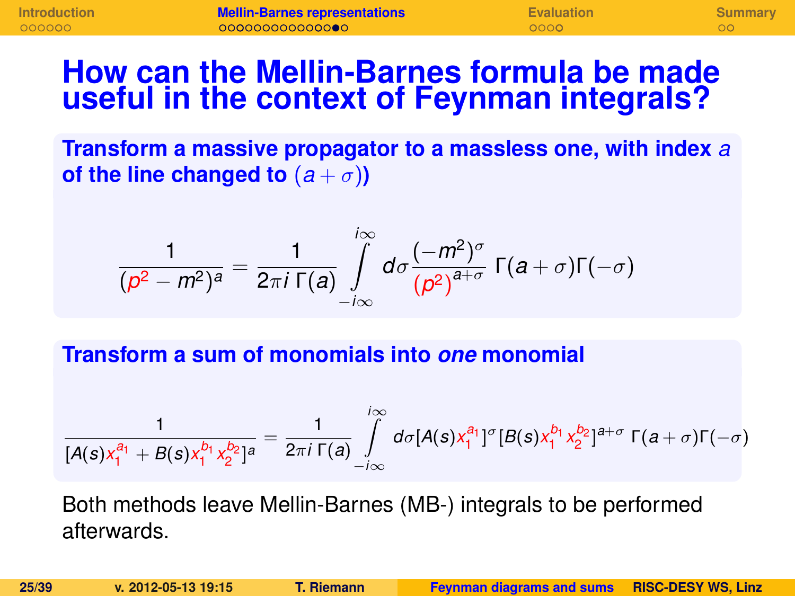# **How can the Mellin-Barnes formula be made useful in the context of Feynman integrals?**

**Transform a massive propagator to a massless one, with index** *a* **of the line changed to**  $(a + \sigma)$ **)** 

$$
\frac{1}{(p^2-m^2)^a}=\frac{1}{2\pi i \Gamma(a)}\int\limits_{-i\infty}^{i\infty}d\sigma\frac{(-m^2)^{\sigma}}{(p^2)^{a+\sigma}}\Gamma(a+\sigma)\Gamma(-\sigma)
$$

**Transform a sum of monomials into** *one* **monomial**

$$
\frac{1}{[A(s)x_1^{a_1} + B(s)x_1^{b_1}x_2^{b_2}]^a} = \frac{1}{2\pi i \Gamma(a)} \int\limits_{-i\infty}^{i\infty} d\sigma [A(s)x_1^{a_1}]^{\sigma} [B(s)x_1^{b_1}x_2^{b_2}]^{a+\sigma} \Gamma(a+\sigma)\Gamma(-\sigma)
$$

Both methods leave Mellin-Barnes (MB-) integrals to be performed afterwards.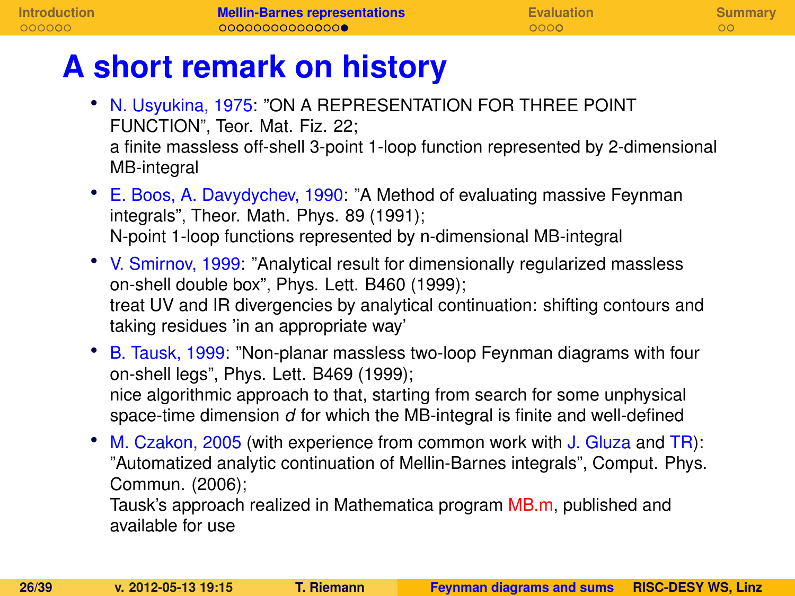# **A short remark on history**

- N. Usyukina, 1975: "ON A REPRESENTATION FOR THREE POINT FUNCTION", Teor. Mat. Fiz. 22; a finite massless off-shell 3-point 1-loop function represented by 2-dimensional MB-integral
- E. Boos, A. Davydychev, 1990: "A Method of evaluating massive Feynman integrals", Theor. Math. Phys. 89 (1991); N-point 1-loop functions represented by n-dimensional MB-integral
- V. Smirnov, 1999: "Analytical result for dimensionally regularized massless on-shell double box", Phys. Lett. B460 (1999); treat UV and IR divergencies by analytical continuation: shifting contours and taking residues 'in an appropriate way'
- B. Tausk, 1999: "Non-planar massless two-loop Feynman diagrams with four on-shell legs", Phys. Lett. B469 (1999); nice algorithmic approach to that, starting from search for some unphysical space-time dimension *d* for which the MB-integral is finite and well-defined
- M. Czakon, 2005 (with experience from common work with J. Gluza and TR): "Automatized analytic continuation of Mellin-Barnes integrals", Comput. Phys. Commun. (2006);

Tausk's approach realized in Mathematica program MB.m, published and available for use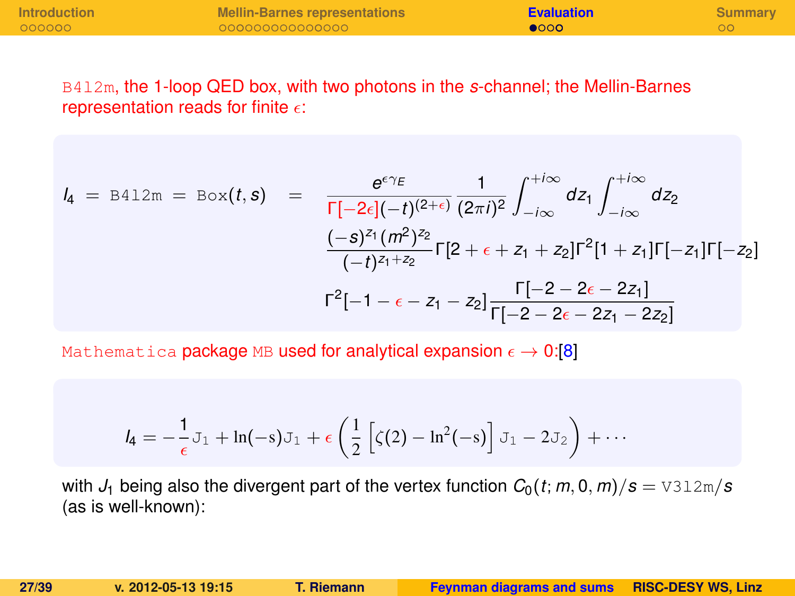| <b>Introduction</b> | Mellin-Barnes representations | <b>Evaluation</b> | Summary |
|---------------------|-------------------------------|-------------------|---------|
| 000000              | 000000000000000               | $\bullet$ 000     |         |

B4l2m, the 1-loop QED box, with two photons in the *s*-channel; the Mellin-Barnes representation reads for finite  $\epsilon$ :

$$
l_4 = B412m = Box(t, s) = \frac{e^{\epsilon \gamma_E}}{\Gamma[-2\epsilon](-t)^{(2+\epsilon)}} \frac{1}{(2\pi i)^2} \int_{-i\infty}^{+i\infty} dz_1 \int_{-i\infty}^{+i\infty} dz_2
$$

$$
\frac{(-s)^{z_1}(m^2)^{z_2}}{(-t)^{z_1+z_2}} \Gamma[2+\epsilon+z_1+z_2] \Gamma^2[1+z_1] \Gamma[-z_1] \Gamma[-z_2]
$$

$$
\Gamma^2[-1-\epsilon-z_1-z_2] \frac{\Gamma[-2-2\epsilon-2z_1]}{\Gamma[-2-2\epsilon-2z_1-2z_2]}
$$

Mathematica package MB used for analytical expansion  $\epsilon \to 0.181$ 

<span id="page-26-0"></span>
$$
l_4 = -\frac{1}{\epsilon} J_1 + \ln(-s) J_1 + \epsilon \left( \frac{1}{2} \left[ \zeta(2) - \ln^2(-s) \right] J_1 - 2 J_2 \right) + \cdots
$$

with  $J_1$  being also the divergent part of the vertex function  $C_0(t; m, 0, m)/s = \frac{V_1}{S_1}$ (as is well-known):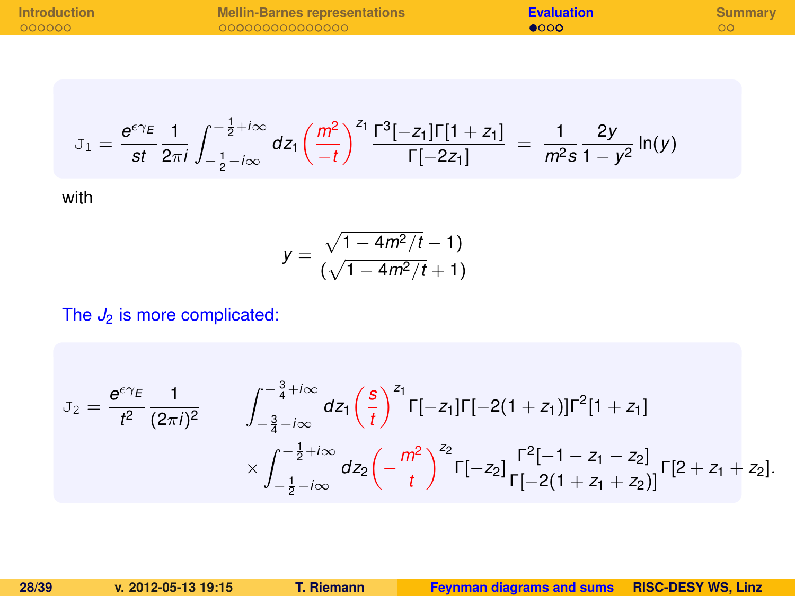| <b>Introduction</b> | <b>Mellin-Barnes representations</b> | <b>Evaluation</b> | Summary |
|---------------------|--------------------------------------|-------------------|---------|
| 000000              | 000000000000000                      | ൈറ                |         |

$$
\mathbb{J}_1 = \frac{e^{\epsilon \gamma_E}}{st} \frac{1}{2\pi i} \int_{-\frac{1}{2} - i\infty}^{-\frac{1}{2} + i\infty} dz_1 \left(\frac{m^2}{-t}\right)^{z_1} \frac{\Gamma^3[-z_1] \Gamma[1 + z_1]}{\Gamma[-2z_1]} = \frac{1}{m^2 s} \frac{2y}{1 - y^2} \ln(y)
$$

with

$$
y = \frac{\sqrt{1 - 4m^2/t} - 1}{(\sqrt{1 - 4m^2/t} + 1)}
$$

#### The  $J_2$  is more complicated:

$$
J_2 = \frac{e^{\epsilon \gamma_E}}{t^2} \frac{1}{(2\pi i)^2} \qquad \int_{-\frac{3}{4} - i\infty}^{-\frac{3}{4} + i\infty} dz_1 \left(\frac{s}{t}\right)^{z_1} \Gamma[-z_1] \Gamma[-2(1+z_1)] \Gamma^2[1+z_1] \times \int_{-\frac{1}{2} - i\infty}^{-\frac{1}{2} + i\infty} dz_2 \left(-\frac{m^2}{t}\right)^{z_2} \Gamma[-z_2] \frac{\Gamma^2[-1-z_1-z_2]}{\Gamma[-2(1+z_1+z_2)]} \Gamma[2+z_1+z_2].
$$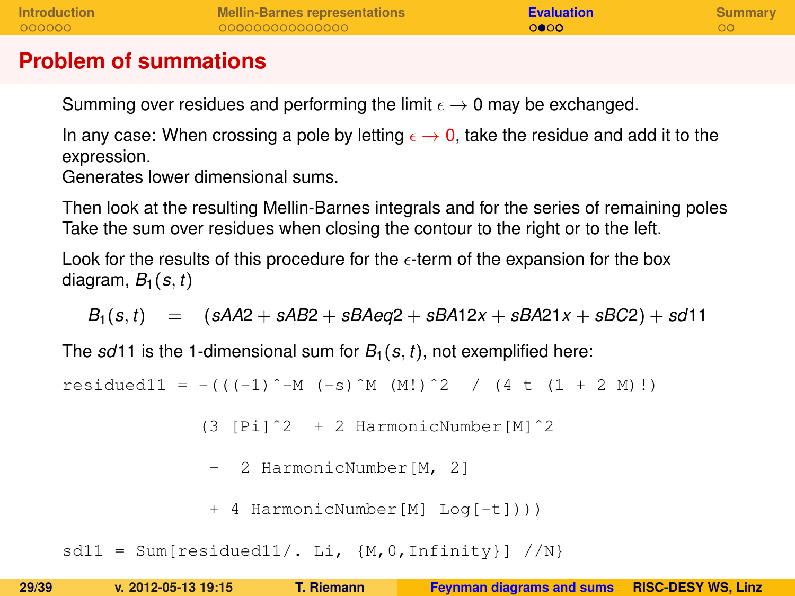| <b>Introduction</b> | <b>Mellin-Barnes representations</b> | <b>Evaluation</b> | Summary |
|---------------------|--------------------------------------|-------------------|---------|
| 000000              | 000000000000000                      | 0000              |         |
|                     |                                      |                   |         |

#### **Problem of summations**

Summing over residues and performing the limit  $\epsilon \to 0$  may be exchanged.

In any case: When crossing a pole by letting  $\epsilon \to 0$ , take the residue and add it to the expression.

Generates lower dimensional sums.

Then look at the resulting Mellin-Barnes integrals and for the series of remaining poles Take the sum over residues when closing the contour to the right or to the left.

Look for the results of this procedure for the  $\epsilon$ -term of the expansion for the box diagram,  $B_1(s, t)$ 

 $B_1(s,t) = (sA42 + sAB2 + sBAeg2 + sBA12x + sBA21x + sBC2) + sd11$ 

The  $sd11$  is the 1-dimensional sum for  $B_1(s, t)$ , not exemplified here:

residued11 =  $-(((-1)^{-}M (-s)^{M} (M!)^2 / (4 t (1 + 2 M)!)$ 

(3 [Pi]ˆ2 + 2 HarmonicNumber[M]ˆ2

```
- 2 HarmonicNumber[M. 2]
```

```
+ 4 HarmonicNumber[M] Log[-t])))
```

```
sdl1 = Sum[residued11/. Li, {M, 0, Infinity} //N}
```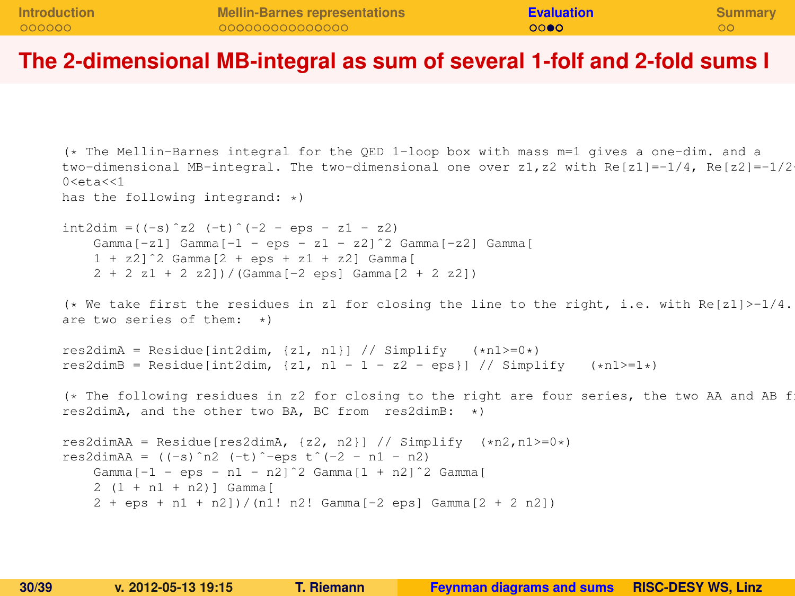| <b>Introduction</b> | <b>Mellin-Barnes representations</b> | <b>Evaluation</b> | <b>Summary</b> |
|---------------------|--------------------------------------|-------------------|----------------|
| 000000              | 000000000000000                      | 0000              |                |
|                     |                                      |                   |                |

#### **The 2-dimensional MB-integral as sum of several 1-folf and 2-fold sums I**

```
(* The Mellin-Barnes integral for the QED 1-loop box with mass m=1 gives a one-dim. and a
two-dimensional MB-integral. The two-dimensional one over z1, z2 with Re[z1]=-1/4, Re[z2]=-1/20 < eta<< 1has the following integrand: *)
int2dim = ((-s)^2 2 (-t)^{-1} - 2 - eps - 21 - 22)Gamma[-z1] Gamma[-1 - \text{eos} - z1 - z2] Camma[-z2] Gamma[1 + z21^2 Gamma[2 + eps + z1 + z2] Gamma[2 + 2 21 + 2 221 / (Gamma [-2 \text{ eps}] Gamma [2 + 2 22])
(* We take first the residues in z1 for closing the line to the right, i.e. with Re[z1] > -1/4.
are two series of them: *)
res2dimA = Residue[int2dim, \{z1, n1\}] // Simplify (xn1>=0*)res2dimB = Residue[int2dim, \{z1, n1 - 1 - z2 - \text{eps}\}\ // Simplify (xn1>=1*)(* The following residues in z2 for closing to the right are four series, the two AA and AB f
res2dimA, and the other two BA, BC from res2dimB: *)
res2dimAA = Residue[res2dimA, \{z2, n2\}] // Simplify (*n2, n1>=0*)res2dimAA = ((-s)^n2 (-t)^{-1}eps t(-2 - n1 - n2)Gamma[-1 - \text{eps} - n1 - n2]^2 Gamma[1 + n2]^2 Gamma[2 (1 + n1 + n2)] Gamma[
    2 + \text{eps} + n1 + n2])/(n1! n2! Gamma[-2 eps] Gamma[2 + 2 n2])
```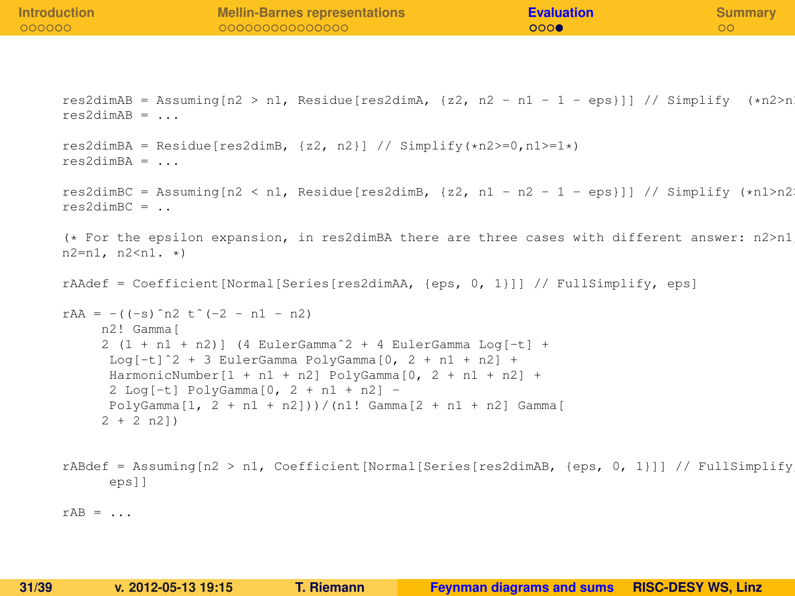| <b>Introduction</b><br>000000 | <b>Mellin-Barnes representations</b><br>00000000000000                                                                                                                                                                                                                                                                                                                                        | <b>Evaluation</b><br>000 | <b>Summary</b><br>$\circ$ |
|-------------------------------|-----------------------------------------------------------------------------------------------------------------------------------------------------------------------------------------------------------------------------------------------------------------------------------------------------------------------------------------------------------------------------------------------|--------------------------|---------------------------|
|                               |                                                                                                                                                                                                                                                                                                                                                                                               |                          |                           |
| $res2dimAB = \ldots$          | res2dimAB = Assuming $n2 > n1$ , Residue [res2dimA, $\{z2, n2 - n1 - 1 - \text{eps}\}\$ ] // Simplify $(\ast n2 > n1)$                                                                                                                                                                                                                                                                        |                          |                           |
| $res2dimBA = $                | res2dimBA = Residue[res2dimB, $\{z2, n2\}$ ] // Simplify(*n2>=0,n1>=1*)                                                                                                                                                                                                                                                                                                                       |                          |                           |
| $res2dimBC = .$               | res2dimBC = Assuming[n2 < n1, Residue[res2dimB, {z2, n1 - n2 - 1 - eps}]] // Simplify $(*n1>n2$                                                                                                                                                                                                                                                                                               |                          |                           |
| $n2=n1, n2$                   | (* For the epsilon expansion, in res2dimBA there are three cases with different answer: n2>n1                                                                                                                                                                                                                                                                                                 |                          |                           |
|                               | $rA \text{Adef} = \text{Coefficient} \text{Normal} \text{Series} \text{[res2dim} \text{A}, \text{[eps, 0, 1]]} / \text{FullSimplify}, \text{eps}$                                                                                                                                                                                                                                             |                          |                           |
|                               | rAA = $-((-s)$ n2 t $(-2 - n1 - n2)$<br>n2! Gamma [<br>$2(1 + n1 + n2)$ (4 EulerGamma <sup>2</sup> + 4 EulerGamma Log[-t] +<br>$Log[-t]^2 + 3 EulerGamma PolyGamma[0, 2 + n1 + n2] +$<br>HarmonicNumber $[1 + n1 + n2]$ PolyGamma $[0, 2 + n1 + n2]$ +<br>$2$ Log[-t] PolyGamma[0, $2 + n1 + n2$ ] -<br>PolyGamma $[1, 2 + n1 + n2])$ / $(n1!$ Gamma $[2 + n1 + n2]$ Gamma $[$<br>$2 + 2 n2)$ |                          |                           |
| eps]]                         | rABdef = Assuming $n2 > n1$ , Coefficient [Normal [Series [res2dimAB, {eps, 0, 1}]] // FullSimplify                                                                                                                                                                                                                                                                                           |                          |                           |
| $rAB = $                      |                                                                                                                                                                                                                                                                                                                                                                                               |                          |                           |
|                               |                                                                                                                                                                                                                                                                                                                                                                                               |                          |                           |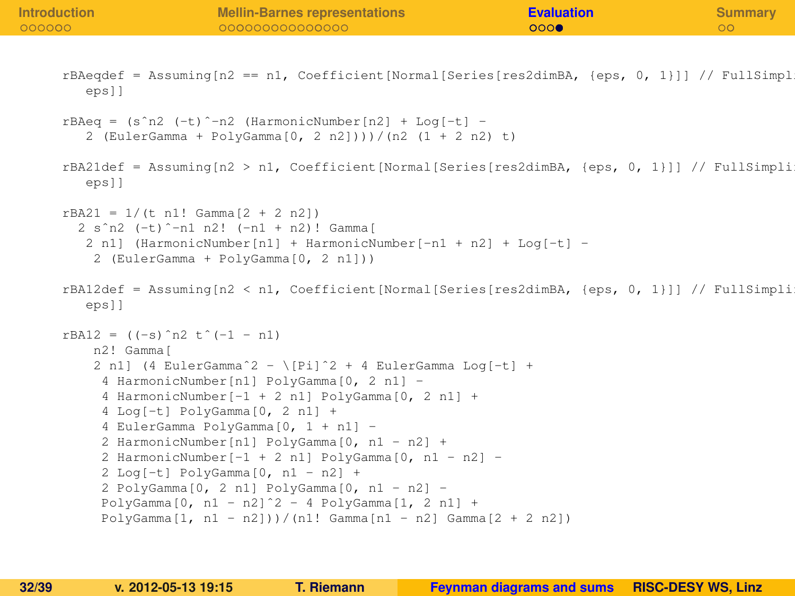| Introduction<br>000000 |                                              | <b>Mellin-Barnes representations</b><br>00000000000000                                                                                                                                                                                                                                                                                                                                                                                                                                                                                                                                     | <b>Evaluation</b><br>000 | <b>Summary</b><br>$\circ$ |
|------------------------|----------------------------------------------|--------------------------------------------------------------------------------------------------------------------------------------------------------------------------------------------------------------------------------------------------------------------------------------------------------------------------------------------------------------------------------------------------------------------------------------------------------------------------------------------------------------------------------------------------------------------------------------------|--------------------------|---------------------------|
|                        | eps]]                                        | rBAeqdef = Assuming [n2 == n1, Coefficient [Normal [Series [res2dimBA, {eps, 0, 1}]] // FullSimpl                                                                                                                                                                                                                                                                                                                                                                                                                                                                                          |                          |                           |
|                        |                                              | $rBAeq = (s^n n2 (-t)^n - n2 (HarmonicNumber[n2] + Log[-t] -$<br>2 (EulerGamma + PolyGamma[0, 2 n2])))/(n2 (1 + 2 n2) t)                                                                                                                                                                                                                                                                                                                                                                                                                                                                   |                          |                           |
|                        | eps]]                                        | rBA21def = Assuming[n2 > n1, Coefficient[Normal[Series[res2dimBA, {eps, 0, 1}]] // FullSimpli                                                                                                                                                                                                                                                                                                                                                                                                                                                                                              |                          |                           |
|                        | $rBA21 = 1/(t n1! \text{ Gamma}[2 + 2 n2])$  | 2 s <sup>2</sup> n2 (-t) <sup>2</sup> -n1 n2! (-n1 + n2)! Gamma [<br>2 n1] (HarmonicNumber[n1] + HarmonicNumber[-n1 + n2] + Log[-t] -<br>2 (EulerGamma + PolyGamma[0, 2 n1]))                                                                                                                                                                                                                                                                                                                                                                                                              |                          |                           |
|                        | eps11                                        | rBA12def = Assuming[n2 < n1, Coefficient[Normal[Series[res2dimBA, {eps, 0, 1}]] // FullSimpli                                                                                                                                                                                                                                                                                                                                                                                                                                                                                              |                          |                           |
|                        | $rBA12 = ((-s)^n2 t^(-1 - n1)$<br>n2! Gammaí | 2 n1] (4 EulerGamma <sup>2</sup> - \[Pi] <sup>2</sup> + 4 EulerGamma Loq[-t] +<br>4 HarmonicNumber[n1] PolyGamma[0, 2 n1] -<br>4 HarmonicNumber [-1 + 2 n1] PolyGamma [0, 2 n1] +<br>4 Log[-t] PolyGamma[0, 2 n1] +<br>4 EulerGamma PolyGamma[0, 1 + n1] -<br>2 HarmonicNumber[n1] PolyGamma[0, n1 - n2] +<br>2 HarmonicNumber [-1 + 2 n1] PolyGamma [0, n1 - n2] -<br>2 Log[-t] PolyGamma[0, n1 - n2] +<br>2 PolyGamma[0, 2 n1] PolyGamma[0, n1 - n2] -<br>PolyGamma[0, n1 - n2] $2 - 4$ PolyGamma[1, 2 n1] +<br>PolyGamma $[1, n1 - n2])$ / $(n1!$ Gamma $[n1 - n2]$ Gamma $[2 + 2 n2])$ |                          |                           |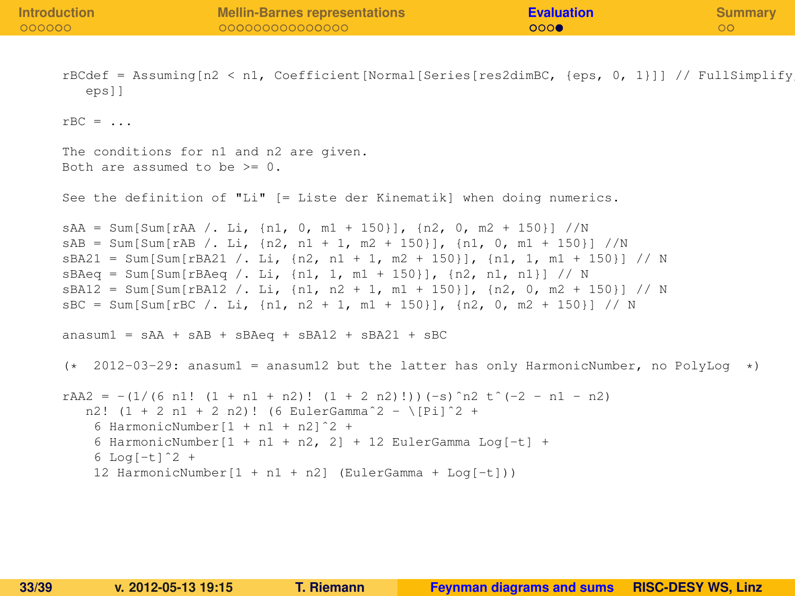**[Introduction](#page-2-0) [Mellin-Barnes representations](#page-9-0) [Evaluation](#page-26-0) [Summary](#page-36-0)** rBCdef = Assuming[n2 < n1, Coefficient[Normal[Series[res2dimBC, {eps, 0, 1}]] // FullSimplify, eps]]  $rBC = \ldots$ The conditions for n1 and n2 are given. Both are assumed to be >= 0. See the definition of "Li" [= Liste der Kinematik] when doing numerics.  $sAA = Sum[Sum[raA / . Li, {n1, 0, m1 + 150}]$ ,  $(n2, 0, m2 + 150)]$ /N  $sAB = Sum[Sum[rah /: Li, [n2, n1 + 1, m2 + 150)], [n1, 0, m1 + 150]] //N$  $sBA21 = Sum[Sum[rBA21 / L.i, {n2, n1 + 1, m2 + 150}]$ ,  ${n1, 1, m1 + 150}]$  // N  $sBAeq = Sum[Sum[FBAeq / Li, [n1, 1, m1 + 150]], [n2, n1, n1]] // N$  $sBA12 = Sum[Sum[rBA12 / L.i, {n1, n2 + 1, m1 + 150}]$ ,  ${n2, 0, m2 + 150}] / N$  $sBC = Sum[Sum[FBC / L Li, (n1, n2 + 1, m1 + 150)]$ ,  $(n2, 0, m2 + 150)]$  // N  $ansum1 = sAA + sAR + sBAeq + sBA12 + sBA21 + sBC$  $(* 2012-03-29: ansum1 = ansum12 but the latter has only HarmonicNumber, no PolvLog  $*$ )$ rAA2 =  $-(1/(6 \text{ n}1! (1 + n1 + n2)! (1 + 2 n2)!))(-s)$ <sup>n</sup>2 t<sup>o</sup>(-2 - n1 - n2) n2!  $(1 + 2 n1 + 2 n2)!$  (6 EulerGamma<sup> $2$ </sup> - \[Pi]<sup> $2$ </sup> + 6 HarmonicNumber[1 + n1 + n2]ˆ2 + 6 HarmonicNumber $[1 + n1 + n2, 2] + 12$  EulerGamma Log $[-t] +$  $6$  Log[-t] $^{\circ}2$  + 12 HarmonicNumber $[1 + n1 + n2]$  (EulerGamma + Log $[-t])$ )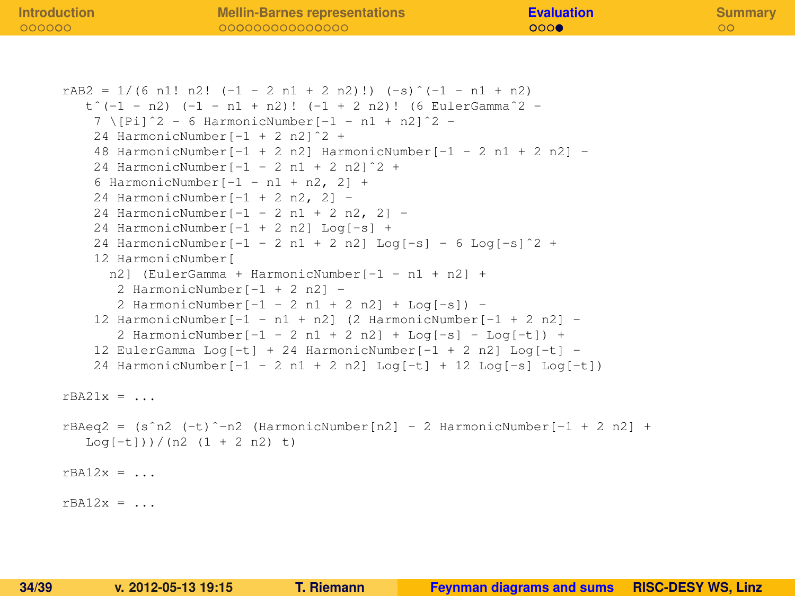| <b>Introduction</b> | <b>Mellin-Barnes representations</b>                                                                                      | <b>Evaluation</b> | <b>Summary</b> |
|---------------------|---------------------------------------------------------------------------------------------------------------------------|-------------------|----------------|
| 000000              | 00000000000000                                                                                                            | 000               | $\circ$        |
|                     |                                                                                                                           |                   |                |
|                     |                                                                                                                           |                   |                |
|                     |                                                                                                                           |                   |                |
|                     | $rAB2 = 1/(6 n1! n2! (-1 - 2 n1 + 2 n2)!) (-s) (-1 - n1 + n2)$                                                            |                   |                |
|                     | $t^(-1 - n2)$ $(-1 - n1 + n2)!$ $(-1 + 2 n2)!$ (6 EulerGamma <sup>2</sup> -                                               |                   |                |
|                     | $7 \  P_1^2^2 - 6$ HarmonicNumber $[-1 - n1 + n2]^2 -$                                                                    |                   |                |
|                     | 24 HarmonicNumber [-1 + 2 n2] 2 +                                                                                         |                   |                |
|                     | 48 HarmonicNumber [-1 + 2 n2] HarmonicNumber [-1 - 2 n1 + 2 n2] -                                                         |                   |                |
|                     | 24 HarmonicNumber $[-1 - 2 n1 + 2 n2]^2 +$                                                                                |                   |                |
|                     | 6 HarmonicNumber $[-1 - n1 + n2, 2]$ +                                                                                    |                   |                |
|                     | 24 HarmonicNumber $[-1 + 2 n2, 2]$ -                                                                                      |                   |                |
|                     | 24 HarmonicNumber $[-1 - 2 n1 + 2 n2, 2]$ -                                                                               |                   |                |
|                     | 24 HarmonicNumber [-1 + 2 n2] Log [-s] +                                                                                  |                   |                |
|                     | 24 HarmonicNumber $[-1 - 2 n1 + 2 n2]$ Log $[-s] - 6$ Log $[-s]$ <sup>2</sup> +                                           |                   |                |
|                     | 12 HarmonicNumber[                                                                                                        |                   |                |
|                     | n2] (EulerGamma + HarmonicNumber [-1 - n1 + n2] +                                                                         |                   |                |
|                     | 2 HarmonicNumber[-1 + 2 n2] -                                                                                             |                   |                |
|                     | 2 HarmonicNumber $[-1 - 2 n1 + 2 n2] +$ Log $[-s]$ ) -                                                                    |                   |                |
|                     | 12 HarmonicNumber $[-1 - n1 + n2]$ (2 HarmonicNumber $[-1 + 2 n2]$ -                                                      |                   |                |
|                     | 2 HarmonicNumber $[-1 - 2 n1 + 2 n2] +$ Log $[-s] -$ Log $[-t]$ +                                                         |                   |                |
|                     | 12 EulerGamma Log[-t] + 24 HarmonicNumber[-1 + 2 n2] Log[-t] -                                                            |                   |                |
|                     | 24 HarmonicNumber $[-1 - 2 n1 + 2 n2]$ Log $[-t] + 12$ Log $[-s]$ Log $[-t]$                                              |                   |                |
|                     |                                                                                                                           |                   |                |
| $rBA21x = $         |                                                                                                                           |                   |                |
|                     |                                                                                                                           |                   |                |
|                     | $rBAeq2 = (s^n2 (-t)^{-n2}$ (HarmonicNumber $[n2] - 2$ HarmonicNumber $[-1 + 2 n2] +$<br>$Log[-t])$ / $(n2 (1 + 2 n2) t)$ |                   |                |
|                     |                                                                                                                           |                   |                |
| $rBA12x = $         |                                                                                                                           |                   |                |
|                     |                                                                                                                           |                   |                |
| $rBA12x = $         |                                                                                                                           |                   |                |
|                     |                                                                                                                           |                   |                |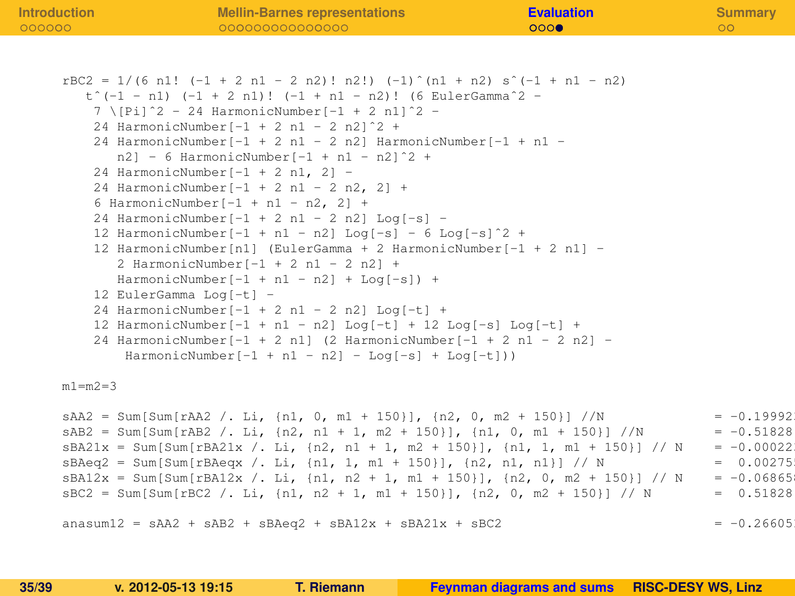| <b>Introduction</b> | <b>Mellin-Barnes representations</b>                                                                                                                       | <b>Evaluation</b> | <b>Summary</b> |
|---------------------|------------------------------------------------------------------------------------------------------------------------------------------------------------|-------------------|----------------|
| 000000              | 00000000000000                                                                                                                                             | 000               | O <sub>O</sub> |
|                     |                                                                                                                                                            |                   |                |
|                     |                                                                                                                                                            |                   |                |
|                     | $rBC2 = 1/(6 n1! (-1 + 2 n1 - 2 n2)! n2!) (-1)^{n+1} n1 + n2 s^{-1} - n2)$<br>$t^*(-1 - n1)$ $(-1 + 2 n1)!$ $(-1 + n1 - n2)!$ (6 EulerGamma <sup>2</sup> - |                   |                |
|                     | $7 \mid \text{[Pi]}^2 - 24$ HarmonicNumber $[-1 + 2 \text{ n}1]^2 -$                                                                                       |                   |                |
|                     | 24 HarmonicNumber $[-1 + 2 n1 - 2 n2]^2 +$                                                                                                                 |                   |                |
|                     | 24 HarmonicNumber [-1 + 2 n1 - 2 n2] HarmonicNumber [-1 + n1 -                                                                                             |                   |                |
|                     | $n21 - 6$ HarmonicNumber[-1 + n1 - n2] <sup>2</sup> +                                                                                                      |                   |                |
|                     | 24 HarmonicNumber $[-1 + 2 n1, 2] =$                                                                                                                       |                   |                |
|                     | 24 HarmonicNumber $[-1 + 2 n1 - 2 n2, 2]$ +                                                                                                                |                   |                |
|                     | 6 HarmonicNumber[-1 + n1 - n2, 2] +                                                                                                                        |                   |                |
|                     | 24 HarmonicNumber $[-1 + 2 n1 - 2 n2]$ Log $[-s]$ -                                                                                                        |                   |                |
|                     | 12 HarmonicNumber $[-1 + n1 - n2]$ Log $[-s]$ - 6 Log $[-s]$ 2 +                                                                                           |                   |                |
|                     | 12 HarmonicNumber [n1] (EulerGamma + 2 HarmonicNumber [-1 + 2 n1] -                                                                                        |                   |                |
|                     | 2 HarmonicNumber[-1 + 2 n1 - 2 n2] +                                                                                                                       |                   |                |
|                     | HarmonicNumber $[-1 + n1 - n2] +$ Log $[-s]$ ) +                                                                                                           |                   |                |
|                     | 12 EulerGamma Log[-t] -                                                                                                                                    |                   |                |
|                     | 24 HarmonicNumber $[-1 + 2 n1 - 2 n2]$ Log $[-t]$ +                                                                                                        |                   |                |
|                     | 12 HarmonicNumber $[-1 + n1 - n2]$ Log $[-t] + 12$ Log $[-s]$ Log $[-t] +$                                                                                 |                   |                |
|                     | 24 HarmonicNumber [-1 + 2 n1] (2 HarmonicNumber [-1 + 2 n1 - 2 n2] -                                                                                       |                   |                |
|                     | $HarmonicNumber[-1 + n1 - n2] - Log[-s] + Log[-t])$                                                                                                        |                   |                |
| $m1 = m2 = 3$       |                                                                                                                                                            |                   |                |
|                     |                                                                                                                                                            |                   |                |
|                     | $sAA2 = Sum[Sum[raA2 /. Li, {n1, 0, m1 + 150}], {n2, 0, m2 + 150}] / N$                                                                                    |                   | $= -0.199921$  |
|                     | $sAB2 = Sum[Sum[rAB2 / Li, {n2, n1 + 1, m2 + 150}].$ $\{n1, 0, m1 + 150\}] / N$                                                                            |                   | $= -0.51828$   |

```
sBA21x = Sum[Sum[rBA21x / Li, {n2, n1 + 1, m2 + 150}], {n1, 1, m1 + 150}] // N = -0.00022
sBAeq2 = Sum[Sum[rBAeqx / L.i, {n1, n1 + 150}], {n2, n1, n1}] // N = 0.00275sBA12x = Sum[Sum[rsA12x / Li, {n1, n2 + 1, m1 + 150}], {n2, 0, m2 + 150}] // N = -0.06865
sBC2 = Sum[Sum[rBC2 /. Li, {n1, n2 + 1, m1 + 150}], {n2, 0, m2 + 150}] // N = 0.51828
```
 $ansum12 = sAA2 + sABA + sBAeq2 + sBA12x + sBA21x + sBC2$  = -0.26605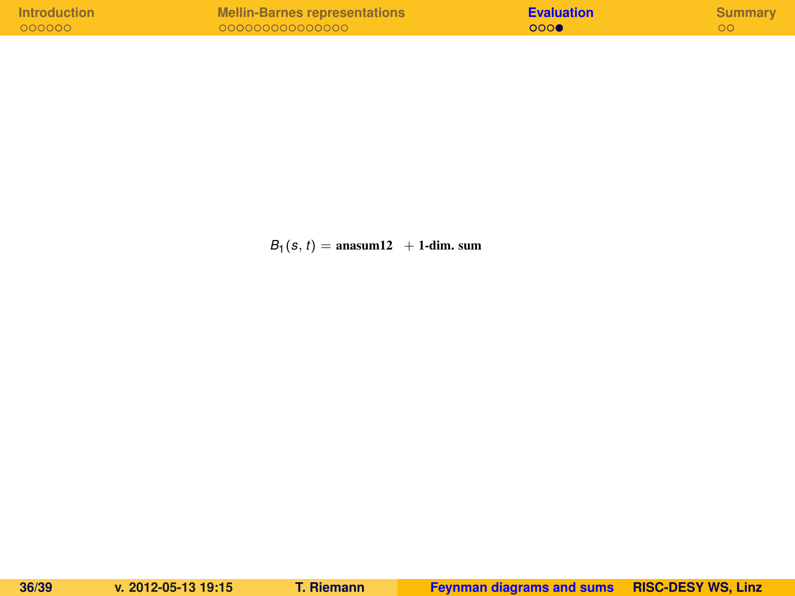| <b>Introduction</b> | Mellin-Barnes representations | <b>Evaluation</b> | Summary |
|---------------------|-------------------------------|-------------------|---------|
| 000000              | 000000000000000               | 000               |         |

 $B_1(s, t) = \text{ansum12 } + \text{1-dim. sum}$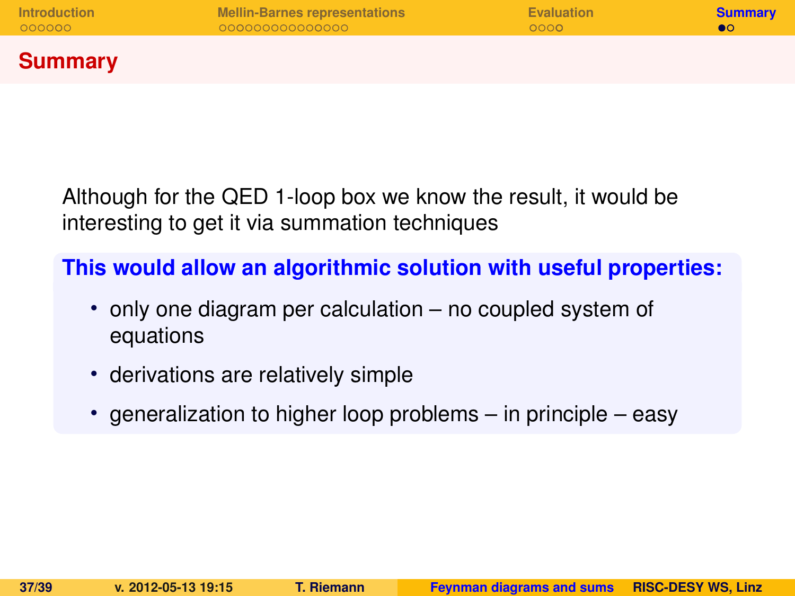**Summary**

Although for the QED 1-loop box we know the result, it would be interesting to get it via summation techniques

**This would allow an algorithmic solution with useful properties:**

- only one diagram per calculation no coupled system of equations
- derivations are relatively simple
- <span id="page-36-0"></span>• generalization to higher loop problems – in principle – easy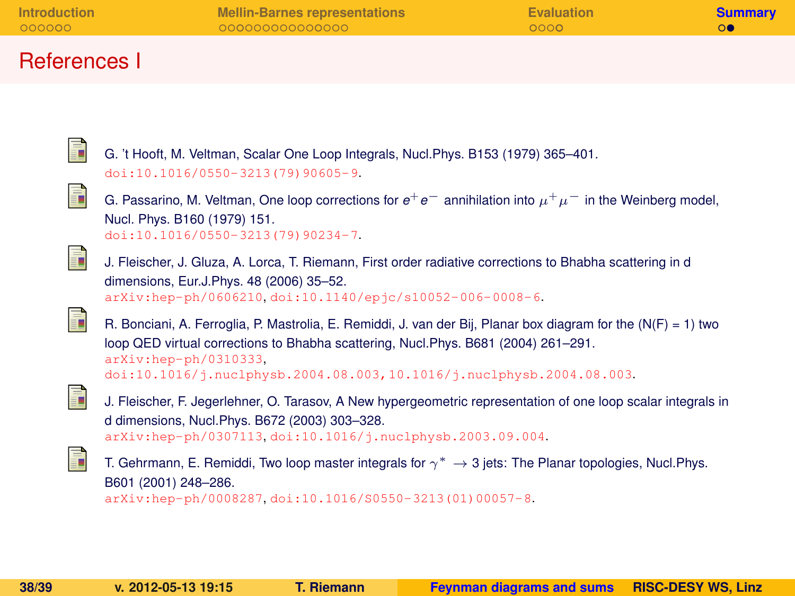| <b>Introduction</b> | <b>Mellin-Barnes representations</b> | <b>Evaluation</b> | <b>Summary</b> |
|---------------------|--------------------------------------|-------------------|----------------|
| 000000              | 000000000000000                      | 0000              |                |
| References I        |                                      |                   |                |

<span id="page-37-0"></span>

<span id="page-37-5"></span><span id="page-37-4"></span><span id="page-37-3"></span><span id="page-37-2"></span><span id="page-37-1"></span>

| Ē | G. 't Hooft, M. Veltman, Scalar One Loop Integrals, Nucl. Phys. B153 (1979) 365-401.<br>$doi:10.1016/0550-3213(79)90605-9.$                                                                                                                                                                              |
|---|----------------------------------------------------------------------------------------------------------------------------------------------------------------------------------------------------------------------------------------------------------------------------------------------------------|
| F | G. Passarino, M. Veltman, One loop corrections for $e^+e^-$ annihilation into $\mu^+\mu^-$ in the Weinberg model,<br>Nucl. Phys. B160 (1979) 151.<br>$doi:10.1016/0550-3213(79)90234-7.$                                                                                                                 |
| F | J. Fleischer, J. Gluza, A. Lorca, T. Riemann, First order radiative corrections to Bhabha scattering in d<br>dimensions, Eur.J.Phys. 48 (2006) 35-52.<br>arXiv:hep-ph/0606210.doi:10.1140/epjc/s10052-006-0008-6.                                                                                        |
| F | R. Bonciani, A. Ferroglia, P. Mastrolia, E. Remiddi, J. van der Bij, Planar box diagram for the (N(F) = 1) two<br>loop QED virtual corrections to Bhabha scattering, Nucl.Phys. B681 (2004) 261–291.<br>$arXiv:hep-ph/0310333$ .<br>doi:10.1016/j.nuclphysb.2004.08.003.10.1016/j.nuclphysb.2004.08.003. |
| ĥ | J. Fleischer, F. Jegerlehner, O. Tarasov, A New hypergeometric representation of one loop scalar integrals in<br>d dimensions, Nucl. Phys. B672 (2003) 303-328.<br>arXiv:hep-ph/0307113.doi:10.1016/j.nuclphysb.2003.09.004.                                                                             |
| F | T. Gehrmann, E. Remiddi, Two loop master integrals for $\gamma^* \to 3$ jets: The Planar topologies, Nucl. Phys.<br>B601 (2001) 248-286.<br>arXiv:hep-ph/0008287.doi:10.1016/S0550-3213(01)00057-8.                                                                                                      |